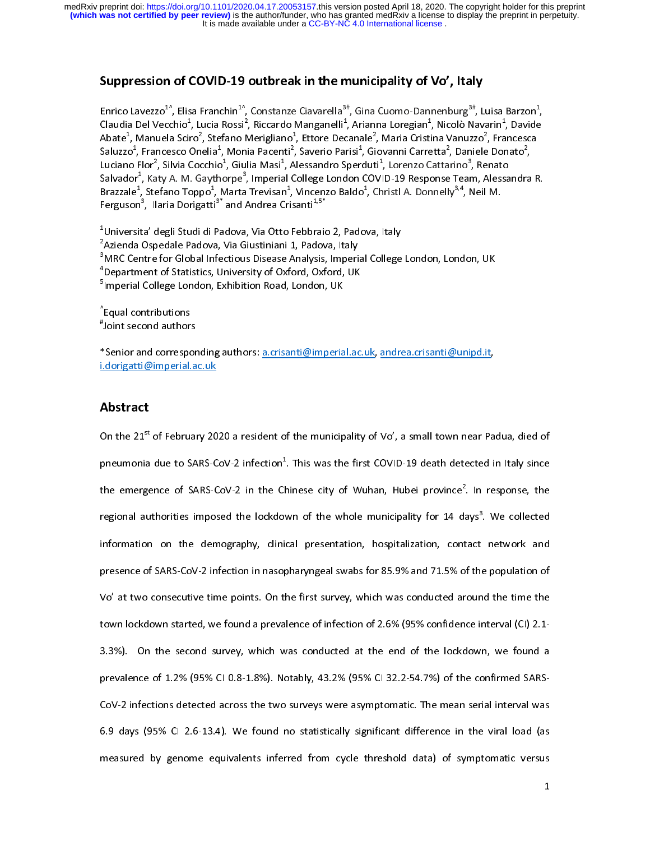# Suppression of COVID-19 outbreak in the municipality of Vo', Italy

Enrico Lavezzo<sup>1^</sup>, Elisa Franchin<sup>1^</sup>, Constanze Ciavarella<sup>3#</sup>, Gina Cuomo-Dannenburg<sup>3#</sup>, Luisa Barzon<sup>1</sup><br>Claudia Del Vecchio<sup>1</sup>, Lucia Rossi<sup>2</sup>, Riccardo Manganelli<sup>1</sup>, Arianna Loregian<sup>1</sup>, Nicolò Navarin<sup>1</sup>, Davide<br>Ab  $\frac{1}{2}$ Claudia Del Vecchio<sup>2</sup>, Lucia Rossi<sup>2</sup>, Riccardo Manganelli<sup>2</sup>, Arianna Loregian<sup>2</sup>, Nicolò Navarin<sup>2</sup><br>Abate<sup>1</sup>, Manuela Sciro<sup>2</sup>, Stefano Merigliano<sup>1</sup>, Ettore Decanale<sup>2</sup>, Maria Cristina Vanuzzo<sup>2</sup>, Fra<br>Saluzzo<sup>1</sup>, Franc  $n$  and  $\sigma^2$ ,<br>and  $\sigma^2$ ,<br>and ra R. Abate<sup>4</sup>, Manuela Sciro<sup>4</sup>, Stefano Merigliano<sup>4</sup>, Ettore Decanale<sup>4</sup>, Maria Cristina Vanuzzo<sup>4</sup>, Francesca<br>Saluzzo<sup>1</sup>, Francesco Onelia<sup>1</sup>, Monia Pacenti<sup>2</sup>, Saverio Parisi<sup>1</sup>, Giovanni Carretta<sup>2</sup>, Daniele Donato<sup>2</sup>,<br>Luc Saluzzo<sup>2</sup>, Francesco Onelia<sup>2</sup>, Monia Pacenti<sup>2</sup>, Saverio Parisi<sup>2</sup>, Giovanni Carretta<sup>2</sup><br>Luciano Flor<sup>2</sup>, Silvia Cocchio<sup>1</sup>, Giulia Masi<sup>1</sup>, Alessandro Sperduti<sup>1</sup>, Lorenzo Catta<br>Salvador<sup>1</sup>, Katy A. M. Gaythorpe<sup>3</sup>, Imp , Daniele Donato<sup>-</sup><br>rino<sup>3</sup>, Renato<br>: Team, Alessandr.<br>y<sup>3,4</sup>, Neil M. ,<br>a Luciano Flor<sup>-</sup>, Silvia Cocchio<sup>-</sup>, Giulia Masi<sup>-</sup>, Alessandro Sperduti<sup>-</sup>, Lorenzo Cattarino<sup>-</sup>, Renato<br>Salvador<sup>1</sup>, Katy A. M. Gaythorpe<sup>3</sup>, Imperial College London COVID-19 Response Team, Alessa<br>Brazzale<sup>1</sup>, Stefano Top

Salvador<sup>4</sup>, Katy A. M. Gaythorpe<sup>9</sup>, Imperial College London COVID-19 Response Team, Alessandra R.<br>Brazzale<sup>1</sup>, Stefano Toppo<sup>1</sup>, Marta Trevisan<sup>1</sup>, Vincenzo Baldo<sup>1</sup>, Christl A. Donnelly<sup>3,4</sup>, Neil M.<br>Ferguson<sup>3</sup>, Ilaria Brazzale<sup>4</sup>, Stefano Toppo<sup>4</sup>, Marta Trevisan<sup>4</sup><br>Ferguson<sup>3</sup>, Ilaria Dorigatti<sup>3\*</sup> and Andrea Cri<br><sup>1</sup>Universita' degli Studi di Padova, Via Otto<br><sup>2</sup>Azienda Ospedale Padova, Via Giustiniani<br><sup>3</sup>MRC Centre for Global Infectio , Vincenzo Baldo<sup>4</sup>, Christl A. Donnelly<sup>9,4</sup>, Neil M.<br>santi<sup>1,5\*</sup><br>Febbraio 2, Padova, Italy<br>1, Padova, Italy<br>Analysis, Imperial College London, London, UK<br>iord, Oxford, UK Ferguson", Ilaria Dorigatti" and Andrea Crisanti<sup>4:3</sup><br><sup>1</sup>Universita' degli Studi di Padova, Via Otto Febbraic<br><sup>2</sup>Azienda Ospedale Padova, Via Giustiniani 1, Padov<br><sup>3</sup>MRC Centre for Global Infectious Disease Analysis,<br><sup>4</sup>De  $\begin{array}{c} 1 \\ 2 \\ 3 \\ 4 \end{array}$ <sup>1</sup>Universita' degli Studi di Padova, Via Otto Febbraio 2, Padova, Italy Azienda Ospedale Padova, Via Giustiniani 1, Padova, Italy<br>MRC Centre for Global Infectious Disease Analysis, Imperial College<br>Department of Statistics, University of Oxford, Oxford, UK<br>Imperial College London, Exhibition R 1 <sup>3</sup>MRC Centre for Global Infectious Disease Analysis, Imperiated the Statistics, University of Oxford, Oxford, UK<br>
<sup>5</sup>Imperial College London, Exhibition Road, London, UK<br>
Tequal contributions<br>  $*$  Joint second authors MRC CENTRE FOR CENTRE CHAPTER (MARCON DISPONDING DEPARTMENT OPERATION) 211<br>Department of Statistics, University of Oxford, Oxford, UK<br>Imperial College London, Exhibition Road, London, UK<br>Equal contributions<br>Joint second au <sup>4</sup>Department of Statistics, University of Oxford, Oxford, UK

 $\frac{1}{2}$ Equal contributions "Joint second authors

Simperial College London, Exhibition Road, London, UK<br>
^Equal contributions<br>  $*$ Joint second authors<br>
\*Senior and corresponding authors: <u>a.crisanti@imperial.ac.</u><br>
\*Senior and corresponding authors: <u>a.crisanti@imperial.ac</u> \*Senior and corresponding authors: a.crisanti@imperial.ac.uk, andrea.crisanti@unipd.it, Equal contributions<br>Joint second authors<br>Senior and correspondents<br>Contributions of the contributions of the contributions. Senior and corresport<br>Senior and corresport<br><u>dorigatti@imperial.a</u><br>Abstract  $\frac{1}{2}$ \*Senior and corresponding authors: a.crisanti@imperial.ac.uk, andrea.crisanti@unipd.it,

Abstract<br>On the 21<sup>st</sup> of February 20  $\begin{array}{c} \n\text{1} \\
\text{2} \\
\text{3} \\
\text{4} \\
\text{5} \\
\text{6} \\
\text{7} \\
\text{8} \\
\text{9} \\
\text{10} \\
\text{11} \\
\text{12} \\
\text{13} \\
\text{14} \\
\text{15} \\
\text{16} \\
\text{17} \\
\text{18} \\
\text{19} \\
\text{10} \\
\text{11} \\
\text{12} \\
\text{13} \\
\text{14} \\
\text{16} \\
\text{17} \\
\text{18} \\
\text{19} \\
\text{19} \\
\text{10} \\
\text{10} \\
\text{$  $\begin{array}{c} \n\text{1} \\
\text{2} \\
\text{3} \\
\text{4} \\
\text{5} \\
\text{6} \\
\text{7} \\
\text{8} \\
\text{9} \\
\text{10} \\
\text{11} \\
\text{12} \\
\text{13} \\
\text{14} \\
\text{15} \\
\text{16} \\
\text{17} \\
\text{18} \\
\text{19} \\
\text{10} \\
\text{11} \\
\text{12} \\
\text{13} \\
\text{14} \\
\text{16} \\
\text{17} \\
\text{18} \\
\text{19} \\
\text{19} \\
\text{10} \\
\text{10} \\
\text{$ Abstract<br>On the 21<sup>st</sup><br>pneumonia<br>the emerge (<br>|<br>| On the 21<sup>st</sup> of February 2020 a resident of the municipality of Vo', a small town near Padua, died of<br>pneumonia due to SARS-CoV-2 infection<sup>1</sup>. This was the first COVID-19 death detected in Italy since<br>the emergence of S pneumonia due to SARS-CoV-2 infection<sup>4</sup>. This was the first COVID-19 death detected in Italy since<br>the emergence of SARS-CoV-2 in the Chinese city of Wuhan, Hubei province<sup>2</sup>. In response, the<br>regional authorities imposed the emergence of SARS-CoV-2 in the Chinese city of Wuhan, Hubei province<sup>2</sup>. In response, the<br>regional authorities imposed the lockdown of the whole municipality for 14 days<sup>3</sup>. We collected<br>information on the demography, regional authorities imposed the lockdown of the whole municipality for 14 days". We collected<br>information on the demography, clinical presentation, hospitalization, contact network and<br>presence of SARS-CoV-2 infection in presence of SARS-CoV-2 infection in nasopharyngeal swabs for 85.9% and 71.5% of the population of<br>Vo' at two consecutive time points. On the first survey, which was conducted around the time the<br>town lockdown started, we f presence of SARS-Cover of SARS-Cover-2 infection in the population in Nov-2 in the population in Nov-2 in Nov-<br>Cover 1 in the population in the population in narrow in the population of 2.6% (95% confidence interval (CI) 2 Vown lockdown started, we found a prevalence of infection of 2.6% (95% confidence interval (CI) 2.1-<br>3.3%). On the second survey, which was conducted at the end of the lockdown, we found a<br>prevalence of 1.2% (95% CI 0.8-1. town 3.3%). On the second survey, which was conducted at the end of the lockdown, we found a<br>prevalence of 1.2% (95% CI 0.8-1.8%). Notably, 43.2% (95% CI 32.2-54.7%) of the confirmed SARS-<br>CoV-2 infections detected across prevalence of 1.2% (95% CI 0.8-1.8%). Notably, 43.2% (95% CI 32.2-54.7%) of the confirmed SARS-CoV-2 infections detected across the two surveys were asymptomatic. The mean serial interval was 6.9 days (95% CI 2.6-13.4). We predsured by genome equivalents interied noth cycle threshold data) of symptomatic versus 6.9 days (95% CI 2.6-13.4). We found no statistically significant difference in the viral load (as<br>measured by genome equivalents inferred from cycle threshold data) of symptomatic versus<br>1 measured by genome equivalents inferred from cycle threshold data) of symptomatic versus<br>
1 measured by genome equivalents inferred from cycle threshold data) of symptomatic versus  $1$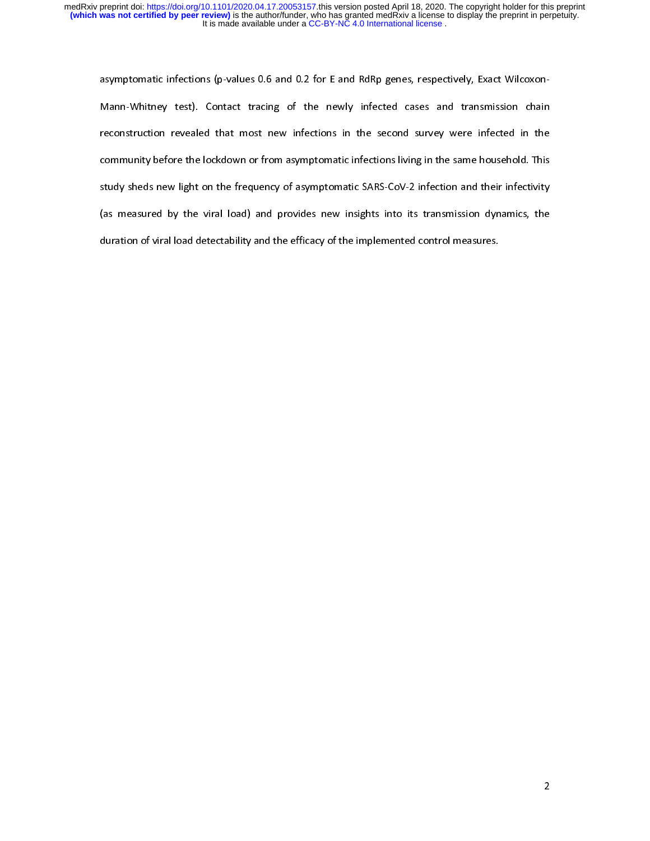asymptomatic infections (p-values 0.6 and 0.2 for E and RdRp genes, respectively, Exact Wilcoxonmann-weiser of the second survey were infected in the reconstruction revealed that most new infections in the second survey were infected in the community before the lockdown or from asymptomatic infections living in the s community before the lockdown or from asymptomatic infections living in the same household. This<br>study sheds new light on the frequency of asymptomatic SARS-CoV-2 infection and their infectivity<br>(as measured by the viral l community before the lockdown or from asymptomatic infections living in the same household. This community before the lockdown or from asymptomatic SARS-CoV-2 infection and their infectivity<br>study sheds new light on the frequency of asymptomatic SARS-CoV-2 infection and their infectivity<br>(as measured by the viral load (as measured by the viral load) and provides new insights into its transmission dynamics, the duration of viral load detectability and the efficacy of the implemented control measures. duration of viral load detectability and the efficacy of the implemented control measures.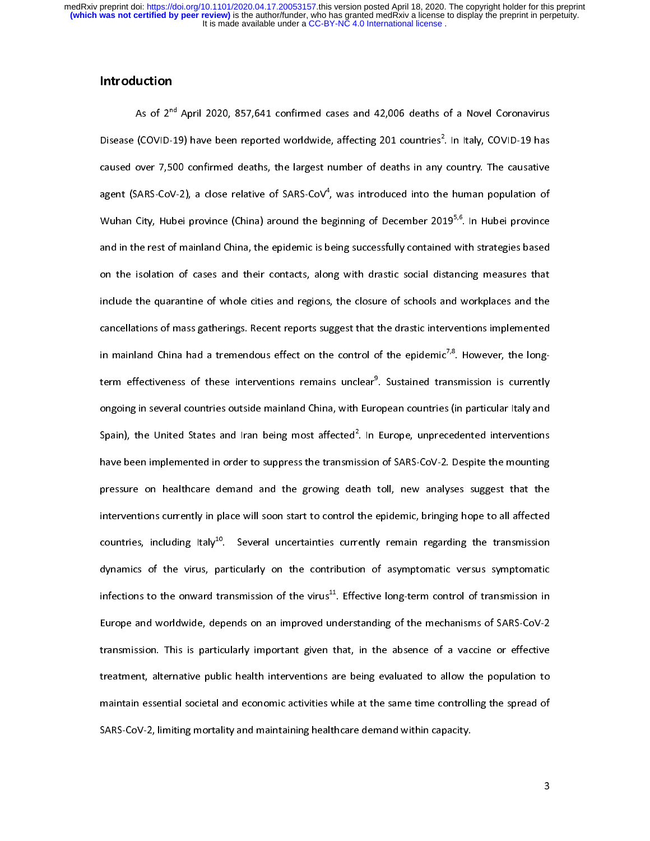# Introduction

As of  $2^{nd}$  April 2020, 857,641 confirmed cases and 42,006 deaths of a Novel Coronavirus<br>Disease (COVID-19) have been reported worldwide, affecting 201 countries<sup>2</sup>. In Italy, COVID-19 has<br>caused over 7,500 confirmed dea Disease (COVID-19) have been reported worldwide, affecting 201 countries". In Italy, COVID-19 has<br>caused over 7,500 confirmed deaths, the largest number of deaths in any country. The causative<br>agent (SARS-CoV-2), a close r agent (SARS-CoV-2), a close relative of SARS-CoV<sup>4</sup>, was introduced into the human population of Wuhan City, Hubei province (China) around the beginning of December 2019<sup>5,6</sup>. In Hubei province and in the rest of mainland agent (SARS-CoV-2), a close relative of SARS-CoV<sup>-</sup>, was introduced into the human population of<br>Wuhan City, Hubei province (China) around the beginning of December 2019<sup>5,6</sup>. In Hubei province<br>and in the rest of mainland and in the rest of mainland China, the epidemic is being successfully contained with strategies based<br>on the isolation of cases and their contacts, along with drastic social distancing measures that<br>include the quarantine and in the rest of mainland china, the epidemic is along successfully contained main chief and the solation of cases and their contacts, along with drastic social distancing measures that include the quarantine of whole ci include the quarantine of whole cities and regions, the closure of schools and workplaces and the<br>cancellations of mass gatherings. Recent reports suggest that the drastic interventions implemented<br>in mainland China had a cancellations of mass gatherings. Recent reports suggest that the drastic interventions implemented<br>in mainland China had a tremendous effect on the control of the epidemic<sup>7,8</sup>. However, the long-<br>term effectiveness of th in mainland China had a tremendous effect on the control of the epidemic<sup>7,8</sup>. However, the long-<br>term effectiveness of these interventions remains unclear<sup>9</sup>. Sustained transmission is currently<br>ongoing in several countri in mainland China had a tremendous effect on the control of the epidemic<sup>20</sup>. However, the long-<br>term effectiveness of these interventions remains unclear<sup>9</sup>. Sustained transmission is currently<br>ongoing in several countrie term effectiveness of these interventions remains unclear". Sustained transmission is currently<br>ongoing in several countries outside mainland China, with European countries (in particular Italy and<br>Spain), the United State Spain), the United States and Iran being most affected<sup>2</sup>. In Europe, unprecedented interventions have been implemented in order to suppress the transmission of SARS-CoV-2. Despite the mounting<br>pressure on healthcare demand and the growing death toll, new analyses suggest that the<br>interventions currently in place will pressure on healthcare demand and the growing death toll, new analyses suggest that the pressure on healthcare demand and the growing death toll, new analyses suggest that the<br>interventions currently in place will soon start to control the epidemic, bringing hope to all affected<br>countries, including Italy<sup>10</sup> presence on healthcare demand and the groung death toll, new analyses suggest that the<br>interventions currently in place will soon start to control the epidemic, bringing hope to all affected<br>countries, including Italy<sup>10</sup>. countries, including Italy<sup>10</sup>. Several uncertainties currently remain regarding the transmission<br>dynamics of the virus, particularly on the contribution of asymptomatic versus symptomatic<br>infections to the onward transmi countries, including Italy<sup>20</sup>. Several uncertainties currently remain regarding the transmission<br>dynamics of the virus, particularly on the contribution of asymptomatic versus symptomatic<br>infections to the onward transmis infections to the onward transmission of the virus<sup>11</sup>. Effective long-term control of transmission in Europe and worldwide, depends on an improved understanding of the mechanisms of SARS-CoV-2 transmission. This is parti infections to the onward transmission of the virus<sup>22</sup>. Effective long-term control of transmission in<br>Europe and worldwide, depends on an improved understanding of the mechanisms of SARS-CoV-2<br>transmission. This is partic Euronsmission. This is particularly important given that, in the absence of a vaccine or effective<br>treatment, alternative public health interventions are being evaluated to allow the population to<br>maintain essential societ treatment, alternative public health interventions are being evaluated to allow the population to<br>maintain essential societal and economic activities while at the same time controlling the spread of<br>SARS-CoV-2, limiting mo maintain essential societal and economic activities while at the same time controlling the spread of<br>SARS-CoV-2, limiting mortality and maintaining healthcare demand within capacity. SARS-CoV-2, limiting mortality and maintaining healthcare demand within capacity.<br>3 SARS-CoV-2, limiting mortality and maintaining healthcare demand within capacity.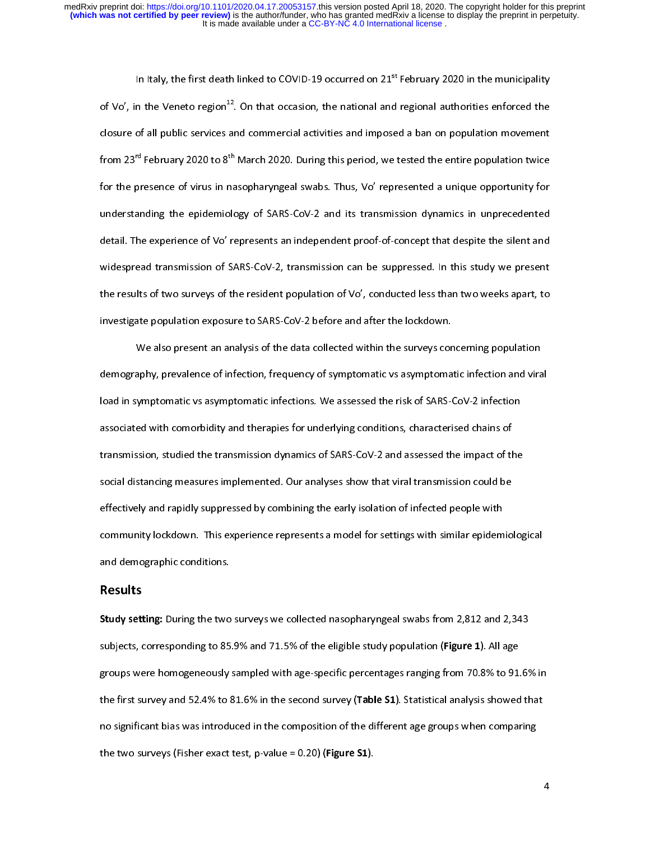In Italy, the first death linked to COVID-19 occurred on 21<sup>st</sup> February 2020 in the municipality of Vo', in the Veneto region<sup>12</sup>. On that occasion, the national and regional authorities enforced the closure of all publi of Vo', in the Veneto region<sup>22</sup>. On that occasion, the national and regional authorities enforced the<br>closure of all public services and commercial activities and imposed a ban on population movement<br>from 23<sup>rd</sup> February from 23<sup>rd</sup> February 2020 to 8<sup>th</sup> March 2020. During this period, we tested the entire population twice<br>for the presence of virus in nasopharyngeal swabs. Thus, Vo' represented a unique opportunity for<br>understanding the e for the presence of virus in nasopharyngeal swabs. Thus, Vo' represented a unique opportunity for<br>understanding the epidemiology of SARS-CoV-2 and its transmission dynamics in unprecedented<br>detail. The experience of Vo' re for the presence of virus in the presence of SARS-CoV-2 and its transmission dynamics in unprecedented<br>detail. The experience of Vo' represents an independent proof-of-concept that despite the silent and<br>widespread transmi detail. The experience of Vo' represents an independent proof-of-concept that despite the silent and<br>widespread transmission of SARS-CoV-2, transmission can be suppressed. In this study we present<br>the results of two survey widespread transmission of SARS-CoV-2, transmission can be suppressed. In this study we present<br>the results of two surveys of the resident population of Vo', conducted less than two weeks apart, to<br>investigate population e where pread transmission of the resident population of Vo', conducted less than two weeks apart, to<br>the results of two surveys of the resident population of Vo', conducted less than two weeks apart, to<br>investigate populati

the results of the results of the results of the surveys concerning population.<br>We also present an analysis of the data collected within the surveys concerning population<br>demography, prevalence of infection, frequency of s In this tinguit population exposure to state to the data collected within the surveys condemography, prevalence of infection, frequency of symptomatic vs asymptomaload in symptomatic vs asymptomatic infections. We assessed demography, prevalence of infection, frequency of symptomatic vs asymptomatic infection and vira<br>load in symptomatic vs asymptomatic infections. We assessed the risk of SARS-CoV-2 infection<br>associated with comorbidity and demography, presenting examplesing inequency of a papermatic colappropriation international and viral<br>load in symptomatic vs asymptomatic infections. We assessed the risk of SARS-CoV-2 infection<br>associated with comorbidity associated with comorbidity and therapies for underlying conditions, characterised chains of<br>transmission, studied the transmission dynamics of SARS-CoV-2 and assessed the impact of the<br>social distancing measures implement associated with comording y and therapies for materying commens) characterised thanks of<br>transmission, studied the transmission dynamics of SARS-CoV-2 and assessed the impact of th<br>social distancing measures implemented. O transmission, social distancing measures implemented. Our analyses show that viral transmission could be<br>effectively and rapidly suppressed by combining the early isolation of infected people with<br>community lockdown. This effectively and rapidly suppressed by combining the early isolation of infected people with<br>community lockdown. This experience represents a model for settings with similar epidemio<br>and demographic conditions. effectively and the experience represents a model for settings with similar epidem<br>and demographic conditions.<br>Results community restimention this experience represents a model for settings that similar epidemiological<br>and demographic conditions.<br>Study setting: During the two surveys we collected nasopharyngeal swabs from 2,812 and 2,343

#### Results

and demographic conditions:<br>**Study setting:** During the two<br>subjects, corresponding to 85  $\overline{a}$ subjects, corresponding to 85.9% and 71.5% of the eligible study population (Figure 1). All age<br>groups were homogeneously sampled with age-specific percentages ranging from 70.8% to 91.69<br>the first survey and 52.4% to 81.6 subjects, corresponding to 85.9% and 71.5% of the eligible study population (Figure 1). All age<br>groups were homogeneously sampled with age-specific percentages ranging from 70.8% to 91.<br>the first survey and 52.4% to 81.6% groups were meaning and stating and specific with age-specific percentages ranging from 70.8% to that<br>the first survey and 52.4% to 81.6% in the second survey (Table S1). Statistical analysis showed that<br>no significant bia no significant bias was introduced in the composition of the different age groups when comparing<br>the two surveys (Fisher exact test, p-value = 0.20) (**Figure S1**).<br>4 the two surveys (Fisher exact test, p-value = 0.20) (**Figure S1**). the two surveys (Fisher exact test, p-value = 0.20) (Figure S1).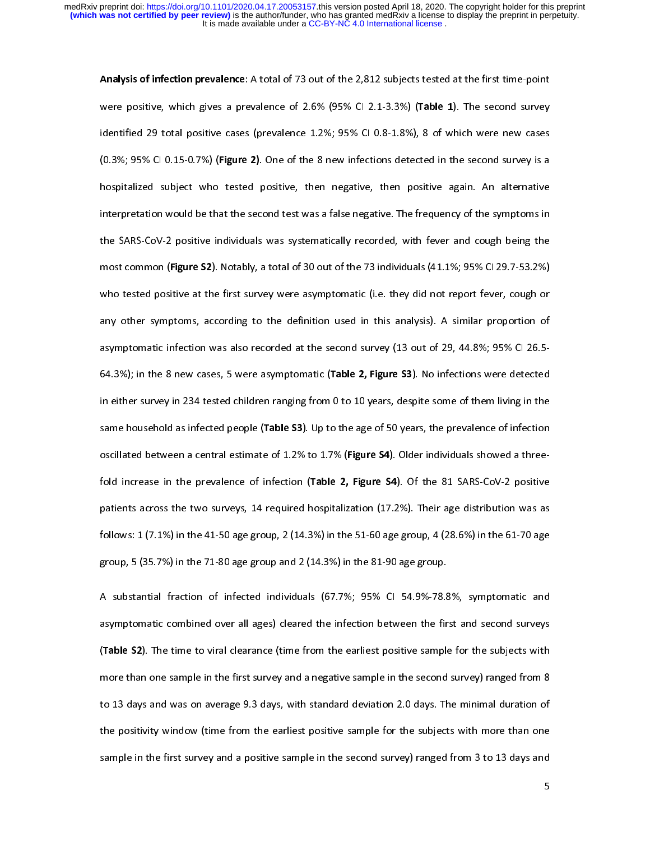Analysis of infection prevalence: A total of 73 out of the 2,612 subjects tested at the first time-point<br>were positive, which gives a prevalence of 2.6% (95% CI 2.1-3.3%) (Table 1). The second survey<br>identified 29 total po identified 29 total positive cases (prevalence 1.2%; 95% CI 0.8-1.8%), 8 of which were new cases<br>(0.3%; 95% CI 0.15-0.7%) (Figure 2). One of the 8 new infections detected in the second survey is a<br>hospitalized subject who identified 20.3%; 95% CI 0.15-0.7%) (Figure 2). One of the 8 new infections detected in the second survey is a<br>hospitalized subject who tested positive, then negative, then positive again. An alternative<br>interpretation wou (0.3%; 95% CI 0.15-0.7%) (Figure 2). One of the 8 new infections detected in the second survey is a<br>hospitalized subject who tested positive, then negative, then positive again. An alternative<br>interpretation would be that interpretation would be that the second test was a false negative. The frequency of the symptoms in<br>the SARS-CoV-2 positive individuals was systematically recorded, with fever and cough being the<br>most common (Figure S2). N interpretation would be that the SARS-CoV-2 positive individuals was systematically recorded, with fever and cough being the<br>most common (Figure S2). Notably, a total of 30 out of the 73 individuals (41.1%; 95% CI 29.7-53. the SARS-Common (Figure S2). Notably, a total of 30 out of the 73 individuals (41.1%; 95% CI 29.7-53.2%)<br>who tested positive at the first survey were asymptomatic (i.e. they did not report fever, cough or<br>any other symptom most common (Figure 32). Notably, a total of 30 out of the 73 mulviduals (41.1%; 95% CI 29.7-53.2%)<br>who tested positive at the first survey were asymptomatic (i.e. they did not report fever, cough or<br>any other symptoms, ac any other symptoms, according to the definition used in this analysis). A similar proportion of<br>asymptomatic infection was also recorded at the second survey (13 out of 29, 44.8%; 95% CI 26.5-<br>64.3%); in the 8 new cases, 5 any other symptomatic infection was also recorded at the second survey (13 out of 29, 44.8%; 95% CI 26.5-<br>64.3%); in the 8 new cases, 5 were asymptomatic (**Table 2, Figure S3**). No infections were detected<br>in either survey asymptomate infection was also recorded at the second survey (13 out of 29, 4.8%); in the 8 new cases, 5 were asymptomatic (**Table 2, Figure S3**). No infections were detected in either survey in 234 tested children ranging 64.3%); in the 8 new cases, 5 were asymptomatic (Table 2, Figure 33). No infections were detected<br>in either survey in 234 tested children ranging from 0 to 10 years, despite some of them living in the<br>same household as inf in 234 tested of UP 334 tested of 1.2% to the age of 50 years, the prevalence of infection<br>oscillated between a central estimate of 1.2% to 1.7% (Figure S4). Older individuals showed a three-<br>fold increase in the prevalenc same household as infected people (Table 33). Op to the age of 30 years, the prevalence of infection<br>oscillated between a central estimate of 1.2% to 1.7% (Figure S4). Older individuals showed a three-<br>fold increase in the fold increase in the prevalence of infection (**Table 2, Figure S4**). Of the 81 SARS-CoV-2 positive<br>patients across the two surveys, 14 required hospitalization (17.2%). Their age distribution was as<br>follows: 1 (7.1%) in th patients across the two surveys, 14 required hospitalization (17.2%). Their age distribution was as<br>follows: 1 (7.1%) in the 41-50 age group, 2 (14.3%) in the 51-60 age group, 4 (28.6%) in the 61-70 age<br>group, 5 (35.7%) i follows: 1 (7.1%) in the 41-50 age group, 2 (14.3%) in the 51-60 age group, 4 (28.6%) in the 61-70 age group, 5 (35.7%) in the 71-80 age group and 2 (14.3%) in the 81-90 age group.<br>A substantial fraction of infected indiv

group, 5 (35.7%) in the 71-80 age group and 2 (14.3%) in the 81-90 age group.<br>A substantial fraction of infected individuals (67.7%; 95% CI 54.9%-78.8%, symptomatic and<br>asymptomatic combined over all ages) cleared the inf group, 3 (35.5%) in the 71-80 age group of the 71-80 age group and 3 asymptomatic combined over all ages) cleared the infection between the fir<br>(Table S2). The time to viral clearance (time from the earliest positive sampl A substantial fraction of infection mathematic (17.1%) 1978 of 18.8% CI 54.9% CJ 54.9% CI 54.9% CI 34.9% Assumptomatic combined over all ages) cleared the infection between the first and second surveys (Table S2). The time (Table S2). The time to viral clearance (time from the earliest positive sample for the subjects with<br>more than one sample in the first survey and a negative sample in the second survey) ranged from 8<br>to 13 days and was on (Table S2). The time to viral clearance (time from the earliest positive sample for the subjects with<br>more than one sample in the first survey and a negative sample in the second survey) ranged from 8<br>to 13 days and was on to 13 days and was on average 9.3 days, with standard deviation 2.0 days. The minimal duration of the positivity window (time from the earliest positive sample for the subjects with more than one<br>sample in the first survey and a positive sample in the second survey) ranged from 3 to 13 days and<br>5 sample in the first survey and a positive sample in the second survey) ranged from 3 to 13 days and sample in the first survey and a positive sample in the second survey) ranged from 3 to 13 days and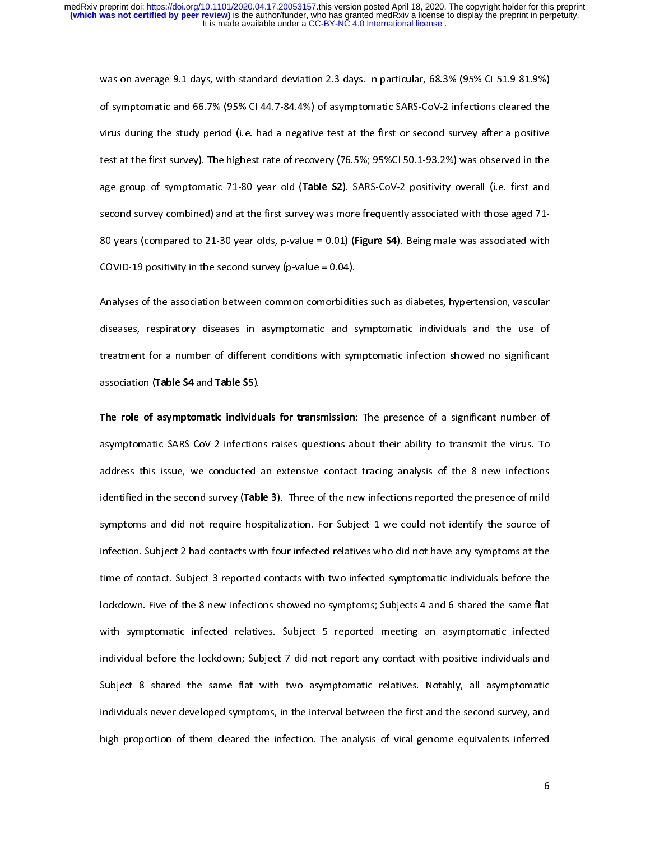was on average 9.1 days, with standard deviation 2.3 days. In particular, 68.3% (95% CI 51.9-81.9%)<br>of symptomatic and 66.7% (95% CI 44.7-84.4%) of asymptomatic SARS-CoV-2 infections cleared the<br>virus during the study peri virus during the study period (i.e. had a negative test at the first or second survey after a positive<br>test at the first survey). The highest rate of recovery (76.5%; 95%CI 50.1-93.2%) was observed in the<br>age group of symp test at the first survey). The highest rate of recovery (76.5%; 95%CI 50.1-93.2%) was observed in the<br>age group of symptomatic 71-80 year old (**Table S2**). SARS-CoV-2 positivity overall (i.e. first and<br>second survey combin test at the first survey). The highest rate of recovery (16.6%) survey of recovery (1.6. first and<br>age group of symptomatic 71-80 year old (Table S2). SARS-CoV-2 positivity overall (i.e. first and<br>second survey combined) a age group of symptomatic 71-80 year-old (Table 32). SARS-Cov-2 positivity overall (i.e. first and<br>second survey combined) and at the first survey was more frequently associated with those aged 71-<br>80 years (compared to 21second survey compared to 21-30 year olds, p-value = 0.01) (Figure S4). Being male was associated with COVID-19 positivity in the second survey (p-value = 0.04).<br>Analyses of the association between common comorbidities su

80 COVID-19 positivity in the second survey (p-value = 0.04).<br>Analyses of the association between common comorbidities such as diabetes, hypertension, vascular<br>diseases, respiratory diseases in asymptomatic and symptomatic COVID-19 positivity in the second survey (p-value = 0.04).<br>Analyses of the association between common comorbiditi<br>diseases, respiratory diseases in asymptomatic and s<br>treatment for a number of different conditions with syr Analysis of the assess of the association, respiratory diseases in asymptomatic and symptomatic individuals and the use of treatment for a number of different conditions with symptomatic infection showed no significant ass discribed treatment for a number of different conditions with symptomatic infection showed no significant<br>disposition (Table S4 and Table S5).<br>The role of asymptomatic individuals for transmission: The presence of a signif

association (Table S4 and Table S5).<br>The role of asymptomatic individuals for transmission: The presence of a significant number of<br>asymptomatic SARS-CoV-2 infections raises questions about their ability to transmit the vi association (Table 54 and Table 55).<br>The role of asymptomatic individu<br>asymptomatic SARS-CoV-2 infection<br>address this issue, we conducted The role of asymptomatic individuals for transmission. The presence of a significant number of<br>asymptomatic SARS-CoV-2 infections raises questions about their ability to transmit the virus. To<br>address this issue, we conduc address this issue, we conducted an extensive contact tracing analysis of the 8 new infections<br>identified in the second survey (Table 3). Three of the new infections reported the presence of mild<br>symptoms and did not requi identified in the second survey (**Table 3**). Three of the new infections reported the presence of mild<br>symptoms and did not require hospitalization. For Subject 1 we could not identify the source of<br>infection. Subject 2 ha symptoms and did not require hospitalization. For Subject 1 we could not identify the source of<br>infection. Subject 2 had contacts with four infected relatives who did not have any symptoms at the<br>time of contact. Subject 3 infection. Subject 2 had contacts with four infected relatives who did not have any symptoms at the<br>time of contact. Subject 3 reported contacts with two infected symptomatic individuals before the<br>lockdown. Five of the 8 infection. Subject 3 reported contacts with two infected symptomatic individuals before the<br>lockdown. Five of the 8 new infections showed no symptoms; Subjects 4 and 6 shared the same flat<br>with symptomatic infected relativ time of the 8 new infections showed no symptoms; Subjects 4 and 6 shared the same flat<br>with symptomatic infected relatives. Subject 5 reported meeting an asymptomatic infected<br>individual before the lockdown; Subject 7 did with symptomatic infected relatives. Subject 5 reported meeting an asymptomatic infected<br>individual before the lockdown; Subject 7 did not report any contact with positive individuals and<br>Subject 8 shared the same flat wit individual before the lockdown; Subject 7 did not report any contact with positive individuals and<br>Subject 8 shared the same flat with two asymptomatic relatives. Notably, all asymptomatic<br>individuals never developed sympt Subject 8 shared the same flat with two asymptomatic relatives. Notably, all asymptomatic<br>individuals never developed symptoms, in the interval between the first and the second survey, and<br>high proportion of them cleared t Individuals never developed symptoms, in the interval between the first and the second survey, and<br>high proportion of them cleared the infection. The analysis of viral genome equivalents inferred<br>dight proportion of them c high proportion of them cleared the infection. The analysis of viral genome equivalents inferred<br>6 high proportion of them cleared the infection. The analysis of viral genome equivalents inferred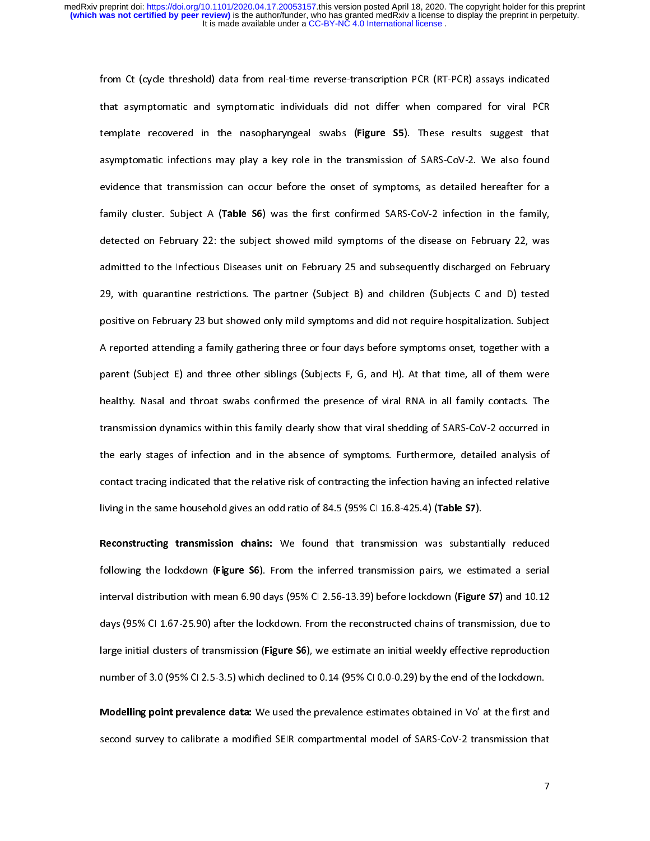that asymptomatic and symptomatic individuals did not differ when compared for viral PCR<br>template recovered in the nasopharyngeal swabs (Figure S5). These results suggest that<br>asymptomatic infections may play a key role in template recovered in the nasopharyngeal swabs (**Figure S5**). These results suggest that<br>asymptomatic infections may play a key role in the transmission of SARS-CoV-2. We also found<br>evidence that transmission can occur bef template recovered in the nasopharyngeal swabs (Figure 33). These results suggest that<br>asymptomatic infections may play a key role in the transmission of SARS-CoV-2. We also found<br>evidence that transmission can occur befor asymptomate interactions, play carry core in the transmisers of symptoms, as detailed hereafter for a<br>evidence that transmission can occur before the onset of symptoms, as detailed hereafter for a<br>family cluster. Subject A family cluster. Subject A (**Table S6**) was the first confirmed SARS-CoV-2 infection in the family,<br>detected on February 22: the subject showed mild symptoms of the disease on February 22, was<br>admitted to the Infectious Dis detected on February 22: the subject showed mild symptoms of the disease on February 22, was<br>admitted to the Infectious Diseases unit on February 25 and subsequently discharged on February<br>29, with quarantine restrictions. admitted to the Infectious Diseases unit on February 25 and subsequently discharged on February<br>29, with quarantine restrictions. The partner (Subject B) and children (Subjects C and D) tested<br>positive on February 23 but s admitted to the Infectious Disease unit on February 22 and Euclepeans, including the February<br>29, with quarantine restrictions. The partner (Subject B) and children (Subjects C and D) tested<br>positive on February 23 but sho 29, positive on February 23 but showed only mild symptoms and did not require hospitalization. Subject<br>A reported attending a family gathering three or four days before symptoms onset, together with a<br>parent (Subject E) an A reported attending a family gathering three or four days before symptoms onset, together with a<br>parent (Subject E) and three other siblings (Subjects F, G, and H). At that time, all of them were<br>healthy. Nasal and throat parent (Subject E) and three other siblings (Subjects F, G, and H). At that time, all of them were<br>healthy. Nasal and throat swabs confirmed the presence of viral RNA in all family contacts. The<br>transmission dynamics withi parent (Subject E) and throat swabs confirmed the presence of viral RNA in all family contacts. The<br>healthy. Nasal and throat swabs confirmed the presence of viral RNA in all family contacts. The<br>transmission dynamics with health and transmission dynamics within this family clearly show that viral shedding of SARS-CoV-2 occurred in<br>the early stages of infection and in the absence of symptoms. Furthermore, detailed analysis of<br>contact tracing the early stages of infection and in the absence of symptoms. Furthermore, detailed analysis of<br>contact tracing indicated that the relative risk of contracting the infection having an infected relative<br>living in the same h contact tracing indicated that the relative risk of contracting the infection having an infected relative<br>living in the same household gives an odd ratio of 84.5 (95% CI 16.8-425.4) (**Table S7**).

containg in the same household gives an odd ratio of 84.5 (95% CI 16.8-425.4) (**Table S7**).<br> **Reconstructing transmission chains:** We found that transmission was substantially reduced<br>
following the lockdown (Figure S6). F Reconstructing transmission chains: We found that transmission was substant following the lockdown (Figure S6). From the inferred transmission pairs, we estimated distribution with mean 6.90 days (95% CI 2.56-13.39) before Reconstructing transmission chains: We found that transmission was substantially reduced<br>following the lockdown (Figure S6). From the inferred transmission pairs, we estimated a serial<br>interval distribution with mean 6.90 following the lockdown (Figure 30). From the inferred transmission pairs, we estimated a serial<br>interval distribution with mean 6.90 days (95% CI 2.56-13.39) before lockdown (Figure S7) and 10.12<br>days (95% CI 1.67-25.90) a days (95% CI 1.67-25.90) after the lockdown. From the reconstructed chains of transmission, due to<br>large initial clusters of transmission (Figure S6), we estimate an initial weekly effective reproduction<br>number of 3.0 (95% darge initial clusters of transmission (Figure S6), we estimate an initial weekly effective reproduction<br>number of 3.0 (95% CI 2.5-3.5) which declined to 0.14 (95% CI 0.0-0.29) by the end of the lockdown.<br>Modelling point p

number of 3.0 (95% CI 2.5-3.5) which declined to 0.14 (95% CI 0.0-0.29) by the end of the lockdown.<br>Modelling point prevalence data: We used the prevalence estimates obtained in Vo' at the first and<br>second survey to calibr Modelling point prevalence data: We used the prevalence estimates obtained in Vo' at the first and second survey to calibrate a modified SEIR compartmental model of SARS-CoV-2 transmission that<br>.<br>7 second survey to calibrate a modified SEIR compartmental model of SARS-CoV-2 transmission that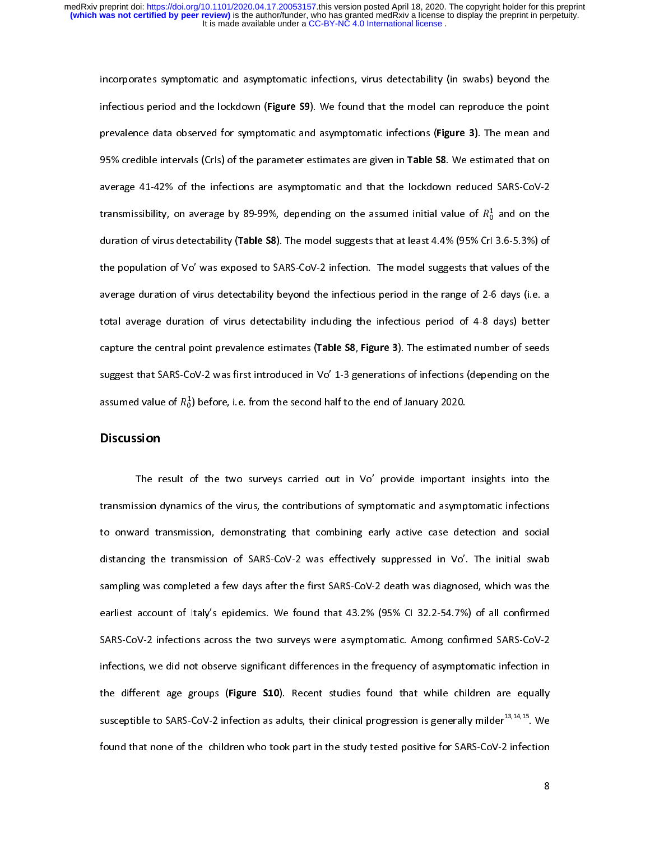infectious period and the lockdown (Figure S9). We found that the model can reproduce the point<br>prevalence data observed for symptomatic and asymptomatic infections (Figure 3). The mean and<br>95% credible intervals (Crls) of prevalence data observed for symptomatic and asymptomatic infections (Figure 3). The mean and<br>95% credible intervals (Crls) of the parameter estimates are given in **Table S8**. We estimated that on<br>average 41-42% of the inf 95% credible intervals (Crls) of the parameter estimates are given in **Table S8**. We estimated that on average 41-42% of the infections are asymptomatic and that the lockdown reduced SARS-CoV-2 transmissibility, on averag average 41-42% of the infections are asymptomatic and that the lockdown reduced SARS-CoV-2<br>transmissibility, on average by 89-99%, depending on the assumed initial value of  $R_0^1$  and on the<br>duration of virus detectabili transmissibility, on average by 89-99%, depending on the assumed initial value of  $R_0^1$  and on the<br>duration of virus detectability (**Table S8**). The model suggests that at least 4.4% (95% CrI 3.6-5.3%) of<br>the population transmissibility, on average by 89-999%, depending on the assumed initial value of  $R_0$  and on the duration of virus detectability (Table S8). The model suggests that at least 4.4% (95% CrI 3.6-5.3%) of the population of ก้ duration of virus detectability (Table 38). The model suggests that at least 4.4% (95% CrI 3.6-5.3%) or<br>the population of Vo' was exposed to SARS-CoV-2 infection. The model suggests that values of the<br>average duration of v the population of virus detectability beyond the infectious period in the range of 2-6 days (i.e. a<br>total average duration of virus detectability including the infectious period of 4-8 days) better<br>capture the central poin average duration of virus detectability including the infectious period of 4-8 days) better<br>capture the central point prevalence estimates (**Table S8, Figure 3**). The estimated number of seeds<br>suggest that SARS-CoV-2 was f capture the central point prevalence estimates (Table  $S8$ , Figure 3). The estimated number of seeds suggest that SARS-CoV-2 was first introduced in Vo' 1-3 generations of infections (depending on the assumed value of  $R_0^1$ ) before, i.e. from the second half to the end of January 2020.<br>Discussion ก้

### **Discussion**

assumed value of  $n_0$ <br>Discussion<br>The result  $\alpha$ The result of the two surveys carried out in Vo' provide important insights into the The result of the time surveys cannot can the the proced important insights into the<br>sion dynamics of the virus, the contributions of symptomatic and asymptomatic infections<br>ard transmission, demonstrating that combining e to onward transmission, demonstrating that combining early active case detection and social<br>distancing the transmission of SARS-CoV-2 was effectively suppressed in Vo'. The initial swab<br>sampling was completed a few days af to summa minimizesing sententioning that communing case, active case active and social<br>distancing the transmission of SARS-CoV-2 was effectively suppressed in Vo'. The initial swab<br>sampling was completed a few days after t distancy in the transmission of sampling was completed a few days after the first SARS-CoV-2 death was diagnosed, which was the earliest account of Italy's epidemics. We found that 43.2% (95% CI 32.2-54.7%) of all confirme earliest account of Italy's epidemics. We found that 43.2% (95% CI 32.2-54.7%) of all confirmed<br>SARS-CoV-2 infections across the two surveys were asymptomatic. Among confirmed SARS-CoV-2<br>infections, we did not observe sign SARS-CoV-2 infections across the two surveys were asymptomatic. Among confirmed SARS-CoV-2 infections, we did not observe significant differences in the frequency of asymptomatic infection in the different age groups (Figu S<br>Infections, we did not observe significant differences in the frequency of asymptomatic infection in<br>the different age groups (Figure S10). Recent studies found that while children are equally<br>susceptible to SARS-CoV-2 i the different age groups (Figure S10). Recent studies found that while children are equally<br>susceptible to SARS-CoV-2 infection as adults, their clinical progression is generally milder<sup>13,14,15</sup>. We<br>found that none of the susceptible to SARS-CoV-2 infection as adults, their clinical progression is generally milder<sup>13,14,15</sup>. We found that none of the children who took part in the study tested positive for SARS-CoV-2 infection found that none of the children who took part in the study tested positive for SARS-CoV-2 infection<br>8 found that none of the children who took part in the study tested positive for  $\sim 8$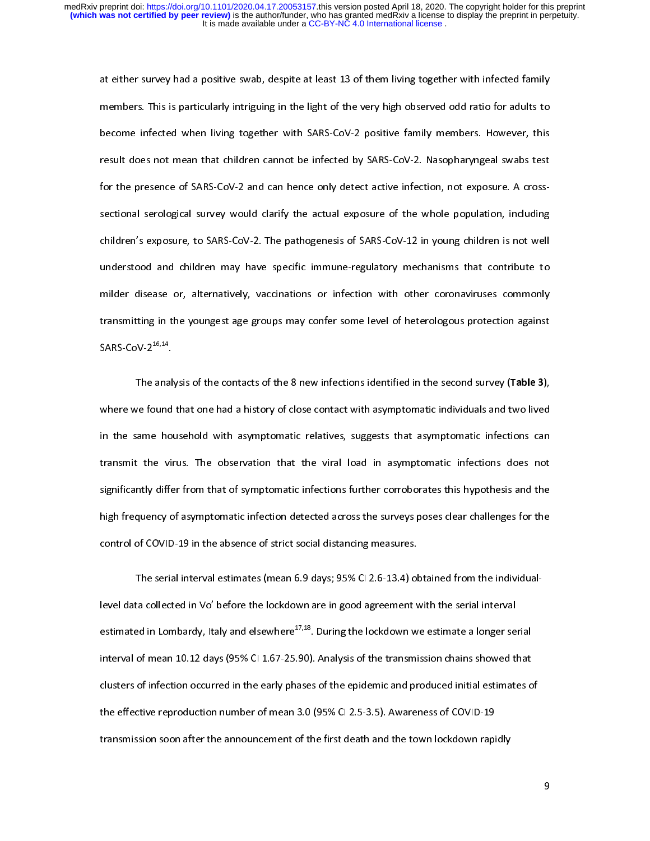members. This is particularly intriguing in the light of the very high observed odd ratio for adults to<br>become infected when living together with SARS-CoV-2 positive family members. However, this<br>result does not mean that become infected when living together with SARS-CoV-2 positive family members. However, this result does not mean that children cannot be infected by SARS-CoV-2. Nasopharyngeal swabs test for the presence of SARS-CoV-2 and result does not mean that children cannot be infected by SARS-CoV-2. Nasopharyngeal swabs test<br>for the presence of SARS-CoV-2 and can hence only detect active infection, not exposure. A cross-<br>sectional serological survey For the presence of SARS-CoV-2 and can hence only detect active infection, not exposure. A cross-<br>sectional serological survey would clarify the actual exposure of the whole population, including<br>children's exposure, to SA understood and children may have specific immune-regulatory mechanisms that contribute to children's exposure, to SARS-CoV-2. The pathogenesis of SARS-CoV-12 in young children is not well<br>understood and children may have specific immune-regulatory mechanisms that contribute to<br>milder disease or, alternatively, children's exposure, to SARS-Conducts and children may have specific immune-regulatory mechanisms that contribute to milder disease or, alternatively, vaccinations or infection with other coronaviruses commonly transmittin milder disease or, alternatively, vaccinations or infection with other coronaviruses commonly<br>transmitting in the youngest age groups may confer some level of heterologous protection against<br>SARS-CoV-2<sup>16,14</sup>. transmitting in the youngest age groups may confer some level of heterologous protection against<br>SARS-CoV-2<sup>16,14</sup>.<br>The analysis of the contacts of the 8 new infections identified in the second survey (**Table 3**),

sans-coV-2<sup>16,14</sup>.<br>The analysis of the contacts of the 8 new infections identified in the second survey (**Table 3**),<br>where we found that one had a history of close contact with asymptomatic individuals and two lived SARS-CoV-216,14. The analysis of the contacts of the 8 new infections identified in the second survey (Table 3),<br>the found that one had a history of close contact with asymptomatic individuals and two lived<br>ame household with asymptomatic in the same household with asymptomatic relatives, suggests that asymptomatic infections can<br>transmit the virus. The observation that the viral load in asymptomatic infections does not<br>significantly differ from that of sym In the state detection with asymptomatic relatives, suggests that asymptomatic infections does not<br>transmit the virus. The observation that the viral load in asymptomatic infections does not<br>significantly differ from that significantly differ from that of symptomatic infections further corroborates this hypothesis and the<br>high frequency of asymptomatic infection detected across the surveys poses clear challenges for the<br>control of COVID-19 igh frequency of asymptomatic infection detected across the surveys poses clear challenges for the<br>control of COVID-19 in the absence of strict social distancing measures.<br>The serial interval estimates (mean 6.9 days; 95%

control of COVID-19 in the absence of strict social distancing measures.<br>The serial interval estimates (mean 6.9 days; 95% Cl 2.6-13.4) obtained from the individual-<br>level data collected in Vo' before the lockdown are in g The serial interval estimates (mean 6.9 days; 95% CI 2.6-13.4) ol<br>level data collected in Vo' before the lockdown are in good agreement v<br>estimated in Lombardy, Italy and elsewhere<sup>17,18</sup>. During the lockdown w interval of mean 10.12 days (95% CI 1.67-25.90). Analysis of the transmission chains showed that estimated in Lombardy, Italy and elsewhere<sup>17,18</sup>. During the lockdown we estimate a longer se<br>interval of mean 10.12 days (95% CI 1.67-25.90). Analysis of the transmission chains showed the<br>clusters of infection occurred estimated in Lombardy, Italy and elsewhere<sup>27,28</sup>. During the lockdown we estimate a longer serial<br>interval of mean 10.12 days (95% CI 1.67-25.90). Analysis of the transmission chains showed that<br>clusters of infection occu clusters of infection occurred in the early phases of the epidemic and produced initial estimates o<br>the effective reproduction number of mean 3.0 (95% CI 2.5-3.5). Awareness of COVID-19<br>transmission soon after the announce the effective reproduction number of mean 3.0 (95% CI 2.5-3.5). Awareness of COVID-19 transmission soon after the announcement of the first death and the town lockdown rapidly transmission soon after the announcement of the first death and the town lockdown rapidly

9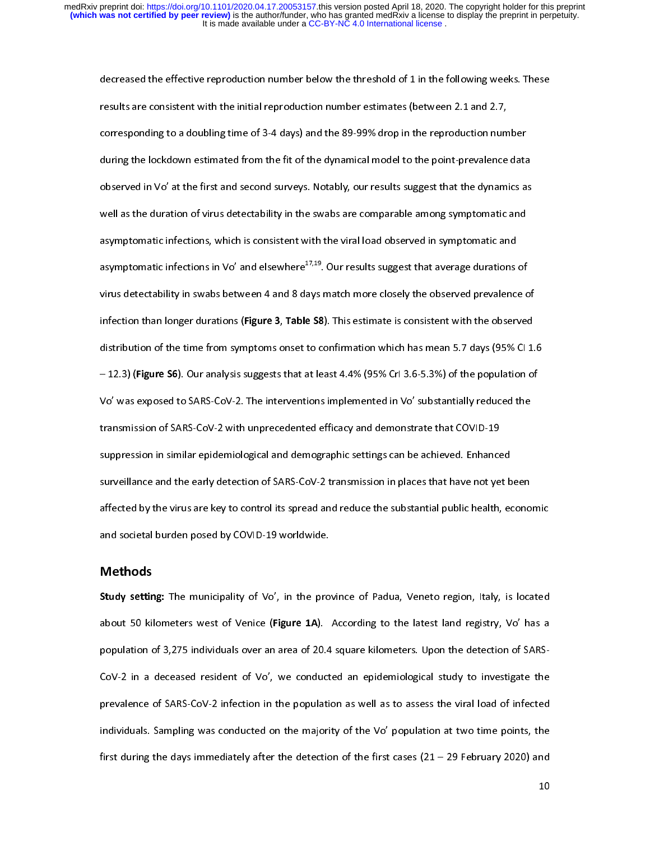results are consistent with the initial reproduction number estimates (between 2.1 and 2.7,<br>corresponding to a doubling time of 3-4 days) and the 89-99% drop in the reproduction number<br>during the lockdown estimated from th corresponding to a doubling time of 3-4 days) and the 89-99% drop in the reproduction num<br>during the lockdown estimated from the fit of the dynamical model to the point-prevalence<br>observed in Vo' at the first and second su during the lockdown estimated from the fit of the dynamical model to the point-prevalence data<br>observed in Vo' at the first and second surveys. Notably, our results suggest that the dynamics as<br>well as the duration of viru during the lockdown estimated from the fit of the dynamical model to the point-prevalence data<br>observed in Vo' at the first and second surveys. Notably, our results suggest that the dynamics as<br>well as the duration of viru observed in Second with the Swabs are comparable among symptomatic and<br>asymptomatic infections, which is consistent with the viral load observed in symptomatic and<br>asymptomatic infections in Vo' and elsewhere<sup>17,19</sup>. Our r asymptomatic infections, which is consistent with the viral load observed in symptomatic and<br>asymptomatic infections in Vo' and elsewhere<sup>17,19</sup>. Our results suggest that average durations of<br>virus detectability in swabs b asymptomatic infections in Vo' and elsewhere<sup>17,19</sup>. Our results suggest that average durations<br>virus detectability in swabs between 4 and 8 days match more closely the observed prevalence<br>infection than longer durations ( asymptomatic infections in Vo' and elsewhere<sup>27,19</sup>. Our results suggest that average durations of<br>virus detectability in swabs between 4 and 8 days match more closely the observed prevalence c<br>infection than longer durati infection than longer durations (**Figure 3, Table S8**). This estimate is consistent with the observed<br>distribution of the time from symptoms onset to confirmation which has mean 5.7 days (95% Cl 1.<br>– 12.3) (**Figure S6**). O distribution of the time from symptoms onset to confirmation which has mean 5.7 days (95% Cl 1.<br>– 12.3) (Figure S6). Our analysis suggests that at least 4.4% (95% Crl 3.6-5.3%) of the population of<br>Vo' was exposed to SARSdistribution of the time from symptoms onset to communication mean the time from says (excepted<br>- 12.3) (Figure S6). Our analysis suggests that at least 4.4% (95% Crl 3.6-5.3%) of the population of<br>Vo' was exposed to SARS-Vo' was exposed to SARS-CoV-2. The interventions implemented in Vo' substantially reduced the<br>transmission of SARS-CoV-2 with unprecedented efficacy and demonstrate that COVID-19<br>suppression in similar epidemiological and transmission of SARS-CoV-2 with unprecedented efficacy and demonstrate that COVID-19<br>suppression in similar epidemiological and demographic settings can be achieved. Enhanced<br>surveillance and the early detection of SARS-Co transmission in similar epidemiological and demographic settings can be achieved. Enhance<br>surveillance and the early detection of SARS-CoV-2 transmission in places that have not ye<br>affected by the virus are key to control surveillance and the early detection of SARS-CoV-2 transmission in places that have not yet b<br>affected by the virus are key to control its spread and reduce the substantial public health, en<br>and societal burden posed by CO affected by the virus are key to control its spread and reduce the substantial public health, econo<br>and societal burden posed by COVID-19 worldwide.<br>Methods and societal burden posed by COVID-19 worldwide.<br> **Methods**<br>
Study setting: The municipality of Vo', in the province of Padua, Veneto region, Italy, is located

#### Methods

Methods<br>Study setting: The municipality of Vo', in the pro<br>about 50 kilometers west of Venice (Figure 1A). Study setting: The municipality of Vo', in the province of Padua, Veneto region, Italy, is located<br>about 50 kilometers west of Venice (Figure 1A). According to the latest land registry, Vo' has a<br>population of 3,275 indivi about 50 kilometers west of Venice (Figure 1A). According to the latest land registry, vo has a<br>population of 3,275 individuals over an area of 20.4 square kilometers. Upon the detection of SARS-<br>CoV-2 in a deceased reside population of 3,275 individuals of 3,275 individuals of 20.4 square kilometers. Upon the detection of SARS-Che prevalence of SARS-CoV-2 infection in the population as well as to assess the viral load of infected<br>individuals. Sampling was conducted on the majority of the Vo' population at two time points, the<br>first during the days individuals. Sampling was conducted on the majority of the Vo' population at two time points, the first during the days immediately after the detection of the first cases  $(21 - 29$  February 2020) and 10 first during the days immediately after the detection of the first cases (21 – 29 February 2020) and<br>10 first during the days immediately after the detection of the first cases (21  $-$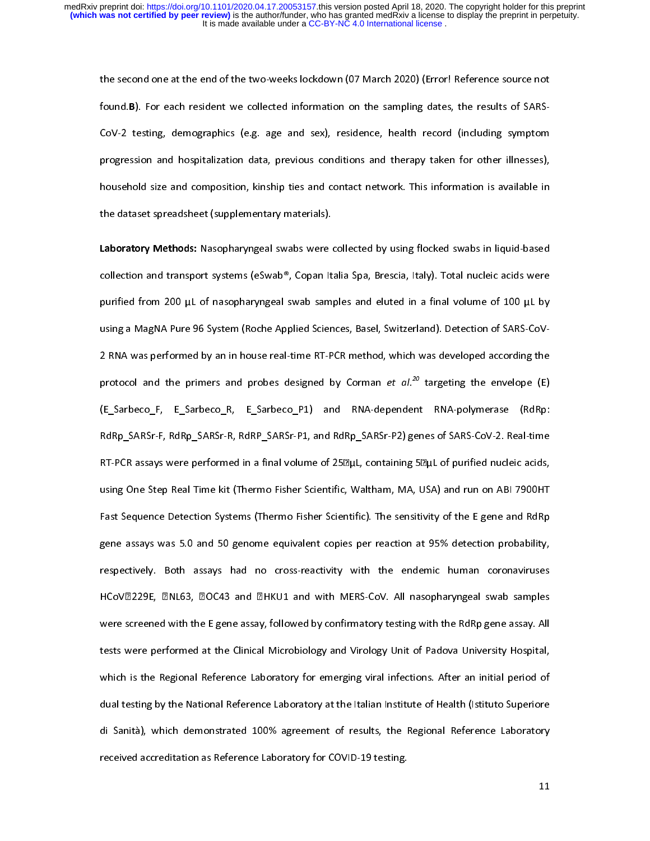found B). For each resident we collected information on the sampling dates, the results of SARS-<br>CoV-2 testing, demographics (e.g. age and sex), residence, health record (including symptom<br>progression and hospitalization d found.B). For each resident we conceted information on the sampling dates, the results of SARS-<br>CoV-2 testing, demographics (e.g. age and sex), residence, health record (including symptom<br>progression and hospitalization da progression and hospitalization data, previous conditions and therapy taken for other illnesses),<br>household size and composition, kinship ties and contact network. This information is available in<br>the dataset spreadsheet ( progression and despitalization and, previous contact network. This information is available in<br>household size and composition, kinship ties and contact network. This information is available in<br>the dataset spreadsheet (su

the dataset spreadsheet (supplementary materials).<br> **Laboratory Methods:** Nasopharyngeal swabs were collected by using flocked swabs in liquid-based<br>
collection and transport systems (eSwab®, Copan Italia Spa, Brescia, Ita the data set of the dataset spreads.<br>Laboratory Methods: Nasopharyngeal swabs were of<br>collection and transport systems (eSwab®, Copan It<br>purified from 200 µL of nasopharyngeal swab sam collection and transport systems (eSwab®, Copan Italia Spa, Brescia, Italy). Total nucleic acids were<br>purified from 200 µL of nasopharyngeal swab samples and eluted in a final volume of 100 µL by using a MagNA Pure 96 System (Roche Applied Sciences, Basel, Switzerland). Detection of SARS-CoV-<br>2 RNA was performed by an in house real-time RT-PCR method, which was developed according the purified from 200 km<sup>-1</sup> and 200 purified from 200 using a MagNA Pure 96 System (Roche Applied Sciences, Basel, Switzerland). Detection of SARS-CoV-<br>2 RNA was performed by an in house real-time RT-PCR method, which was dev (E\_Sarbeco\_F, E\_Sarbeco\_R, E\_Sarbeco\_P1) and RNA-dependent RNA-polymerase (RdRp: protocol and the primers and probes designed by Corman *et al.<sup>20</sup>* targeting the envelope (E)<br>(E\_Sarbeco\_F, E\_Sarbeco\_R, E\_Sarbeco\_P1) and RNA-dependent RNA-polymerase (RdRp:<br>RdRp\_SARSr-F, RdRp\_SARSr-R, RdRP\_SARSr-P1, an protocol and the primers and probes designed by Corman *et al.*<sup>22</sup> targeting the envelope (E)<br>(E\_Sarbeco\_F, E\_Sarbeco\_R, E\_Sarbeco\_P1) and RNA-dependent RNA-polymerase (RdRp:<br>RdRp\_SARSr-F, RdRp\_SARSr-R, RdRP\_SARSr-P1, and The Sarbeco-F, RdRp\_Sarbeco-F, RdRP\_Sarbeco-F, and RdRp\_Sarbecomes of Sarbecov-2. Real-time<br>RT-PCR assays were performed in a final volume of 25<br>Duply, containing 5<br>Duply of purified nucleic acids, using One Step Real Time RT-PCR assays were performed in a final volume of 25 $\mathbb{Z}$ µL, containing 5 $\mathbb{Z}$ µL of purified nucleic acids, using One Step Real Time kit (Thermo Fisher Scientific, Waltham, MA, USA) and run on ABI 7900HT Fast Sequenc using One Step Real Time kit (Thermo Fisher Scientific, Waltham, MA, USA) and run on ABI 7900HT<br>Fast Sequence Detection Systems (Thermo Fisher Scientific). The sensitivity of the E gene and RdRp<br>gene assays was 5.0 and 50 Fast Sequence Detection Systems (Thermo Fisher Scientific). The sensitivity of the E gene and RdRp<br>gene assays was 5.0 and 50 genome equivalent copies per reaction at 95% detection probability,<br>respectively. Both assays ha Fast Sene assays was 5.0 and 50 genome equivalent copies per reaction at 95% detection probability,<br>Faspectively. Both assays had no cross-reactivity with the endemic human coronaviruses<br>HCoV2229E, 2NL63, 20C43 and 2HKU1 a gene assays that in the settlem and the endemic human coronaviruses<br>HCoV2229E, 2NL63, 2OC43 and 2HKU1 and with MERS-CoV. All nasopharyngeal swab samples<br>were screened with the E gene assay, followed by confirmatory testing HCoV2229E, 2NL63, 20C43 and 2HKU1 and with MERS-CoV. All nasopharyngeal swab samples<br>were screened with the E gene assay, followed by confirmatory testing with the RdRp gene assay. All<br>tests were performed at the Clinical HERCO 2012, 2012, 2013, October 2012, And Mini-Merk 2014 and Mini-Merk pairs, Agent state samples<br>Were screened with the E gene assay, followed by confirmatory testing with the RdRp gene assay. All<br>tests were performed at were screense with the E gene assay, followed by community, follow, the the the party Hospital,<br>tests were performed at the Clinical Microbiology and Virology Unit of Padova University Hospital,<br>which is the Regional Refer tests were performed at the Clinical Microbiology and Virology 2 may be cause to encodey, the projection,<br>which is the Regional Reference Laboratory for emerging viral infections. After an initial period of<br>dual testing by Minted in the Regional Reference Laboratory at the Italian Institute of Health (Istituto Superiore<br>di Sanità), which demonstrated 100% agreement of results, the Regional Reference Laboratory<br>received accreditation as Refer di Sanità), which demonstrated 100% agreement of results, the Regional Reference Laboratory<br>received accreditation as Reference Laboratory for COVID-19 testing.<br>11 divided accreditation as Reference Laboratory for COVID-19 testing.<br>11 received accreditation as Reference Laboratory for COVID-19 testing.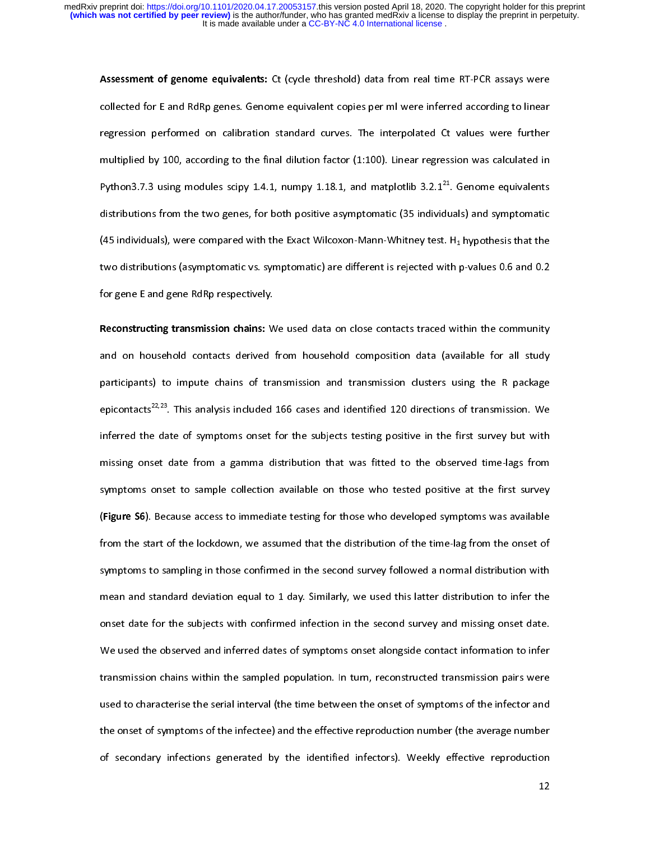Assessment of genome equivalents: Ct (cycle threshold) data from real time RT-PCR assays were collected for E and RdRp genes. Genome equivalent copies per ml were inferred according to linear regression performed on calibr regression performed on calibration standard curves. The interpolated Ct values were further<br>multiplied by 100, according to the final dilution factor (1:100). Linear regression was calculated in<br>Python3.7.3 using modules multiplied by 100, according to the final dilution factor (1:100). Linear regression was calculated in<br>Python3.7.3 using modules scipy 1.4.1, numpy 1.18.1, and matplotlib 3.2.1<sup>21</sup>. Genome equivalents<br>distributions from th Python3.7.3 using modules scipy 1.4.1, numpy 1.18.1, and matplotlib  $3.2.1^{21}$ . Genome equivalents distributions from the two genes, for both positive asymptomatic (35 individuals) and symptomatic (45 individuals), were Python3.7.3 using modules scipy 1.4.1, numpy 1.18.1, and matplotlib 3.2.1<sup>22</sup>. Genome equivalents<br>distributions from the two genes, for both positive asymptomatic (35 individuals) and symptomatic<br>(45 individuals), were co (45 individuals), were compared with the Exact Wilcoxon-Mann-Whitney test. H<sub>1</sub> hypothesis that the two distributions (asymptomatic vs. symptomatic) are different is rejected with p-values 0.6 and 0.2 for gene E and gene two distributions (asymptomatic vs. symptomatic) are different is rejected with p-values 0.6 and 0.2<br>for gene E and gene RdRp respectively.

the distributions (asymptomatic vs. symptomatic) are different is registed with p-values on and size<br>for gene E and gene RdRp respectively.<br>Reconstructing transmission chains: We used data on close contacts traced within t For the Constructing transmission chains: W<br>and on household contacts derived<br>participants) to impute chains of tra and on household contacts derived from household composition data (available for all study<br>participants) to impute chains of transmission and transmission clusters using the R package<br>epicontacts<sup>22,23</sup>. This analysis incl participants) to impute chains of transmission and transmission clusters using the R package<br>epicontacts<sup>22,23</sup>. This analysis included 166 cases and identified 120 directions of transmission. We<br>inferred the date of sympt participants<sup>22,23</sup>. This analysis included 166 cases and identified 120 directions of transmission. We<br>inferred the date of symptoms onset for the subjects testing positive in the first survey but with<br>missing onset date inferred the date of symptoms onset for the subjects testing positive in the first survey but with<br>missing onset date from a gamma distribution that was fitted to the observed time-lags from<br>symptoms onset to sample collec missing onset date from a gamma distribution that was fitted to the observed time-lags from<br>symptoms onset to sample collection available on those who tested positive at the first survey<br>(Figure S6). Because access to imme symptoms onset to sample collection available on those who tested positive at the first survey<br>(Figure S6). Because access to immediate testing for those who developed symptoms was available<br>from the start of the lockdown, (Figure S6). Because access to immediate testing for those who developed symptoms was available<br>from the start of the lockdown, we assumed that the distribution of the time-lag from the onset of<br>symptoms to sampling in tho (Figure 30). Because access to immediate testing for those who developed symptoms was available<br>from the start of the lockdown, we assumed that the distribution of the time-lag from the onset of<br>symptoms to sampling in tho from the start of sampling in those confirmed in the second survey followed a normal distribution with<br>The start of the standard deviation equal to 1 day. Similarly, we used this latter distribution to infer the<br>Sonset dat symptom and standard deviation equal to 1 day. Similarly, we used this latter distribution to infer the<br>onset date for the subjects with confirmed infection in the second survey and missing onset date.<br>We used the observed mean and standard deviation equal to 1 day. Similarly, we assume this latter distribution to infer<br>onset date for the subjects with confirmed infection in the second survey and missing onset date.<br>We used the observed and One is also the observed and inferred dates of symptoms onset alongside contact information to infer<br>transmission chains within the sampled population. In turn, reconstructed transmission pairs were<br>used to characterise th The and the observed and interest and interest and the observed and the observed transmission pairs were<br>used to characterise the serial interval (the time between the onset of symptoms of the infector and<br>the onset of sym that the same in the sampled population. In turn, reconstrained transmission pairs were<br>used to characterise the serial interval (the time between the onset of symptoms of the infector and<br>the onset of symptoms of the infe the onset of symptoms of the infectee) and the effective reproduction number (the average number<br>of secondary infections generated by the identified infectors). Weekly effective reproduction<br>12 the of secondary infections generated by the identified infectors). Weekly effective reproduction 12

of secondary infections generated infections generated in fectors). We have reproduce the infections of  $\mathbf{L}$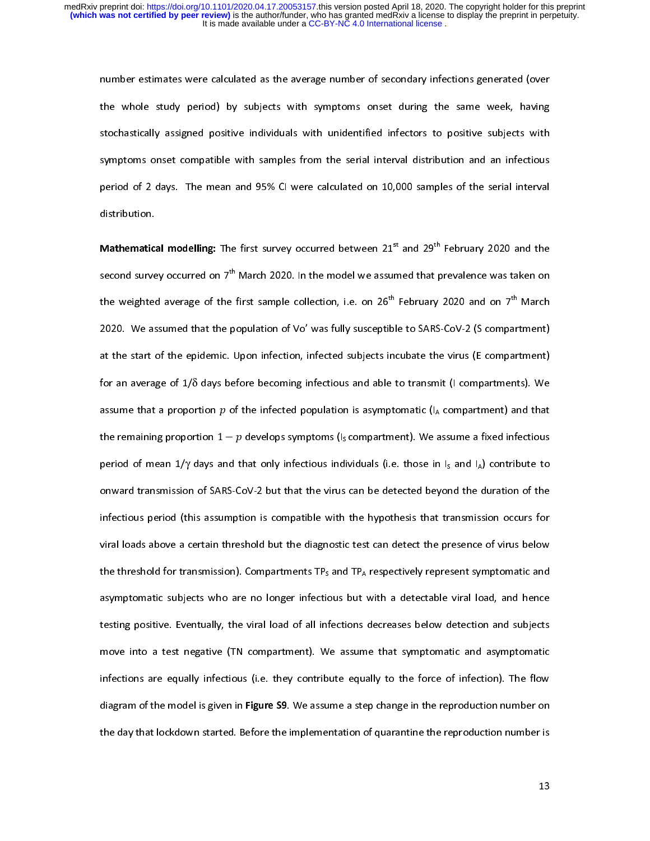the whole study period) by subjects with symptoms onset during the same week, having<br>stochastically assigned positive individuals with unidentified infectors to positive subjects with<br>symptoms onset compatible with samples to chastically assigned positive individuals with unidentified infectors to positive subjects with<br>symptoms onset compatible with samples from the serial interval distribution and an infectious<br>period of 2 days. The mean a symptoms onset compatible with samples from the serial interval distribution and an infectious<br>period of 2 days. The mean and 95% CI were calculated on 10,000 samples of the serial interval<br>distribution.

**Mathematical modelling:** The first survey occurred between  $21^{st}$  and  $29^{th}$  February 2020 and the distribution.<br>Mathematical modelling: The first survey occurred between  $21^{st}$  and  $29^{th}$  February 2020 and the<br>second survey occurred on 7<sup>th</sup> March 2020. In the model we assumed that prevalence was taken on Mathematica<br>second surve<br>the weighted **Mathematical modelling:** The first survey occurred between 21<sup>24</sup> and 29<sup>44</sup> February 2020 and the second survey occurred on 7<sup>th</sup> March 2020. In the model we assumed that prevalence was taken on the weighted average of the weighted average of the first sample collection, i.e. on  $26^{th}$  February 2020 and on  $7^{th}$  March 2020. We assumed that the population of Vo' was fully susceptible to SARS-CoV-2 (S compartment) the weighted average of the first sample collection, i.e. on 26" February 2020 and on 7" March<br>2020. We assumed that the population of Vo' was fully susceptible to SARS-CoV-2 (S compartment)<br>at the start of the epidemic. U 2021. The start of the epidemic. Upon infection, infected subjects incubate the virus (E compartment)<br>2021. The start of the epidemic. Upon infection, infected subjects incubate the virus (E compartments). We<br>2021. The sa for an average of 1/ $\delta$  days before becoming infectious and able to transmit (I compartments). We<br>assume that a proportion  $p$  of the infected population is asymptomatic (I<sub>A</sub> compartment) and that<br>the remaining proporti for an average of 1/δ days before becoming infectious and able to transmit (I compartments). We assume that a proportion  $p$  of the infected population is asymptomatic (I<sub>A</sub> compartment) and that the remaining proportion the remaining proportion  $p$  or the infected population is asymptomatic ( $I_A$  compartment) and that<br>the remaining proportion  $1 - p$  develops symptoms ( $I_S$  compartment). We assume a fixed infectious<br>period of mean  $1/\gamma$  da period of mean  $1/\gamma$  days and that only infectious individuals (i.e. those in  $I_s$  and  $I_A$ ) contribute to<br>onward transmission of SARS-CoV-2 but that the virus can be detected beyond the duration of the<br>infectious period period onward transmission of SARS-CoV-2 but that the virus can be detected beyond the duration of the<br>infectious period (this assumption is compatible with the hypothesis that transmission occurs for<br>viral loads above a c infectious period (this assumption is compatible with the hypothesis that transmission occurs for<br>viral loads above a certain threshold but the diagnostic test can detect the presence of virus below<br>the threshold for tran infectious period (this assumption is compatible into the hypothesis that transmission is virial loads above a certain threshold but the diagnostic test can detect the presence of virus below<br>the threshold for transmissio the threshold for transmission). Compartments TP<sub>s</sub> and TP<sub>A</sub> respectively represent symptomatic and<br>asymptomatic subjects who are no longer infectious but with a detectable viral load, and hence<br>testing positive. Eventual asymptomatic subjects who are no longer infectious but with a detectable viral load, and hence<br>testing positive. Eventually, the viral load of all infections decreases below detection and subjects<br>move into a test negative asymptomate subjects who are no longer infections decreases below detection and subjects<br>testing positive. Eventually, the viral load of all infections decreases below detection and subjects<br>move into a test negative (TN c testing positive. Eventually, the viral load of all infections decreases below decreases and asymptomatic<br>move into a test negative (TN compartment). We assume that symptomatic and asymptomatic<br>infections are equally infec infections are equally infectious (i.e. they contribute equally to the force of infection). The flow<br>diagram of the model is given in **Figure S9**. We assume a step change in the reproduction number on<br>the day that lockdown diagram of the model is given in Figure S9. We assume a step change in the reproduction number on the day that lockdown started. Before the implementation of quarantine the reproduction number is<br>13  $t$  the day that local day that local day implementation of quarantine the reproduction  $t$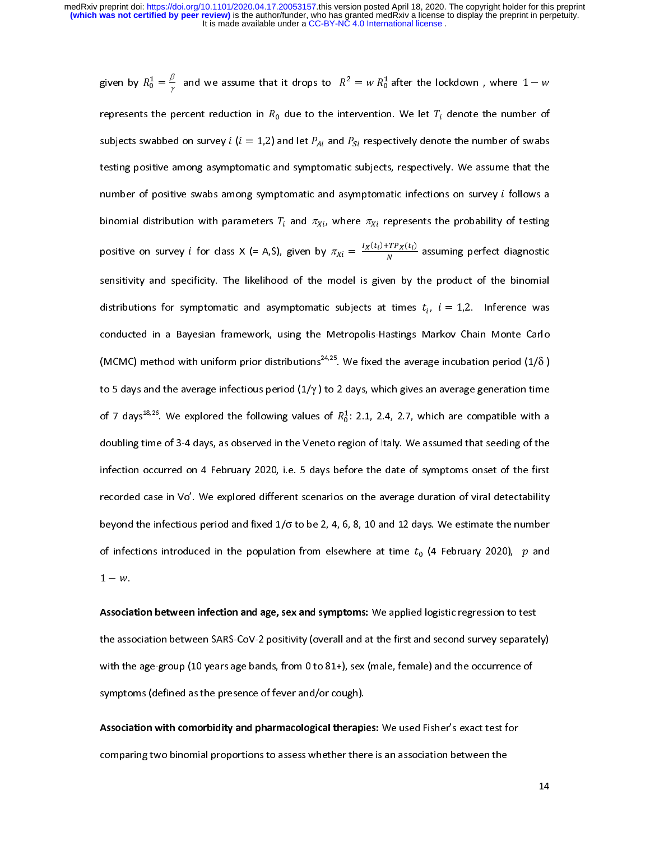given by  $R_0^* = \frac{1}{\gamma}$  and we assume that it drops to  $R^2 = w R_0^*$  after the lockdown , where  $1 - w$ <br>represents the percent reduction in  $R_0$  due to the intervention. We let  $T_i$  denote the number of<br>subjects swabbed o  $\frac{1}{0} = \frac{p}{\gamma}$ ก้ subjects swabbed on survey *i* (*i* = 1,2) and let  $P_{Ai}$  and  $P_{Si}$  respectively denote the number of swabs<br>testing positive among asymptomatic and symptomatic subjects, respectively. We assume that the<br>number of positiv binomial distribution with parameters  $T_i$  and  $\pi_{Xi}$ , where  $\pi_{Xi}$  represents the probability of testing the mumber of positive swabs among symptomatic and asymptomatic infections on survey *i* follows a<br>binomial distribution with parameters  $T_i$  and  $\pi_{Xi}$ , where  $\pi_{Xi}$  represents the probability of testing<br>positive on su binomial distribution with parameters  $T_i$  and  $\pi_{Xi}$ , where  $\pi_{Xi}$  represents the probability of testing<br>positive on survey *i* for class  $X$  (= A,S), given by  $\pi_{Xi} = \frac{I_X(t_i) + TP_X(t_i)}{N}$  assuming perfect diagnostic<br>sens binomial distribution with parameters  $r_i$  and  $n_{Xi}$ , where  $n_{Xi}$  represents the probability of testing<br>positive on survey *i* for class X (= A,S), given by  $\pi_{Xi} = \frac{I_X(t_i) + T P_X(t_i)}{N}$  assuming perfect diagnostic<br>sensiti positive on survey *t* for class  $X$  (= A,S), given by  $n_{Xi}$  assuming perfect diagnostic<br>sensitivity and specificity. The likelihood of the model is given by the product of the binomial<br>distributions for symptomatic and  $\frac{1}{N} \frac{(1+i) + 1 + N(i)}{N}$ distributions for symptomatic and asymptomatic subjects at times  $t_i$ ,  $i = 1,2$ . Inference was<br>conducted in a Bayesian framework, using the Metropolis-Hastings Markov Chain Monte Carlo<br>(MCMC) method with uniform prior dis conducted in a Bayesian framework, using the Metropolis-Hastings Markov Chain Monte Carlo<br>(MCMC) method with uniform prior distributions<sup>24,25</sup>. We fixed the average incubation period (1/ $\delta$ )<br>to 5 days and the average in (MCMC) method with uniform prior distributions<sup>24,25</sup>. We fixed the average incubation period (1/ $\delta$ ) to 5 days and the average infectious period (1/ $\gamma$ ) to 2 days, which gives an average generation time of 7 days<sup>18,26</sup> (MCMC) method with uniform prior distributions<sup>24,25</sup>. We fixed the average incubation period (1/δ ) to 5 days and the average infectious period (1/γ) to 2 days, which gives an average generation time of 7 days<sup>18,26</sup>. We to 5 days and the average infectious period  $(1/\gamma)$  to 2 days, which gives an average generation time<br>of 7 days<sup>18,26</sup>. We explored the following values of  $R_0^1$ : 2.1, 2.4, 2.7, which are compatible with a<br>doubling time of 7 days<sup>2,25</sup>. We explored the following values of  $R_0^2$ : 2.1, 2.4, 2.7, which are compatible with a doubling time of 3-4 days, as observed in the Veneto region of Italy. We assumed that seeding of the infection occur ก้ infection occurred on 4 February 2020, i.e. 5 days before the date of symptoms onset of the first<br>recorded case in Vo'. We explored different scenarios on the average duration of viral detectability<br>beyond the infectious infection of viral detectability<br>beyond the infectious period and fixed  $1/\sigma$  to be 2, 4, 6, 8, 10 and 12 days. We estimate the number<br>of infections introduced in the population from elsewhere at time  $t_0$  (4 February 20 beyond the infectious period and fixed  $1/\sigma$  to be 2, 4, 6, 8, 10 and 12 days. We estimate the number<br>of infections introduced in the population from elsewhere at time  $t_0$  (4 February 2020), p and<br> $1 - w$ . beyond the infectious period and fixed 1/σ to be 2, 4, 6, 8, 10 and 12 days. We estimate the number<br>of infections introduced in the population from elsewhere at time  $t_0$  (4 February 2020), p and<br>1 – w.<br>Association betwe

 $1 - w$ .<br>
Association between infection and age, sex and symptoms: We applied logistic regression to test<br>
the association between SARS-CoV-2 positivity (overall and at the first and second survey separately) 1<br>**Associa**<br>the associa<br>with the Association between infection and age, sex and symptoms: We applied logistic regression to test<br>the association between SARS-CoV-2 positivity (overall and at the first and second survey separate<br>with the age-group (10 year the association between SARS-Cover-2 positivity, (or communication survey separately) represently)<br>with the age-group (10 years age bands, from 0 to 81+), sex (male, female) and the occurrence of<br>symptoms (defined as the p

symptoms (defined as the presence of fever and/or cough).<br>Association with comorbidity and pharmacological therapies: We used Fisher's exact test for<br>comparing two binomial proportions to assess whether there is an associa symptoms (defined as the presence of fever and, or cough,<br>Association with comorbidity and pharmacological therapicomparing two binomial proportions to assess whether then Association with comorbidity and pharmacological therapies. We used Fisher's exact test for<br>comparing two binomial proportions to assess whether there is an association between the comparing two binomial proportions to assess whether there is an association between the

14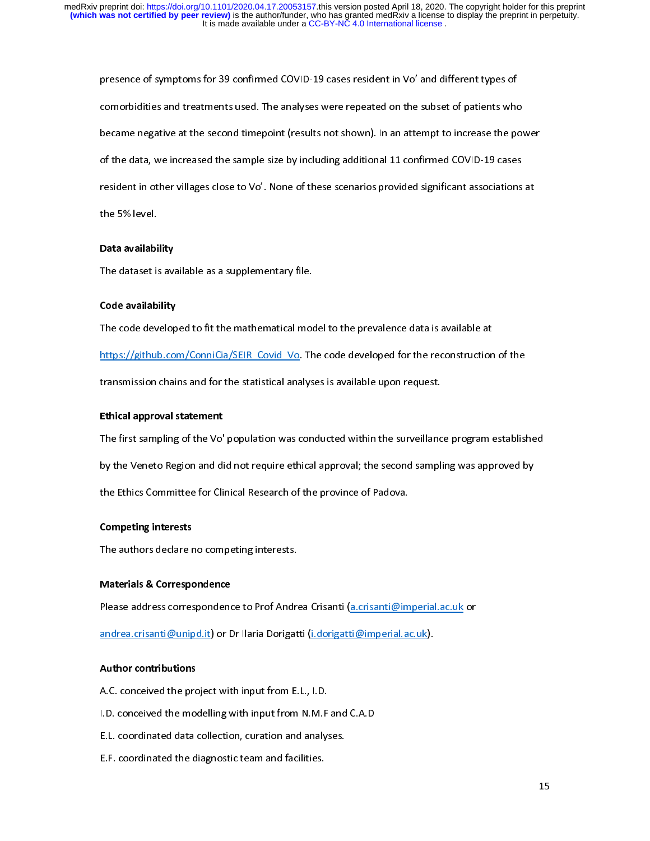presence of symptoms for symptoms in comorbidities and treatments used. The analyses were repeated on the subset of patients who<br>became negative at the second timepoint (results not shown). In an attempt to increase the po became negative at the second timepoint (results not shown). In an attempt to increase the pow<br>of the data, we increased the sample size by including additional 11 confirmed COVID-19 cases<br>resident in other villages close because of the data, we increased the sample size by including additional 11 confirmed COVID-19 cases<br>resident in other villages close to Vo'. None of these scenarios provided significant associations at<br>the 5% level. of the data, we increased the sample size by including additional 11 community of the 11 cases<br>resident in other villages close to Vo'. None of these scenarios provided significant associations<br>the 5% level.<br>Data availabil resident in other villages close to Vo<br> **Data availability**<br>
The dataset is available as a supplementary file.

# Data availabi<br>The dataset is<br>Code availabi Data availability

#### Code availability

The dataset is available as a supplementary file.<br> **Code availability<br>
The code developed to fit the mathematical model to the prevalence data is available at**  $\frac{https://github.com/ConniCia/SEIR-Covid-Vo}{https://github.com/ConniCia/SEIR-Covid-Vo}.$  The code developed for the reconstruction of the transmission chains and for the statistical analyses is available upon request. https://github.com/Connicial/Services-Americans.com/Connectivity-transmission chains and for the statistical analyses is available upon request.<br>Ethical approval statement<br>The first sampling of the Vo' population was condu

#### Ethical approval statement

thical approval statement<br>The first sampling of the Vo' population was conducted within the surveillanc<br>by the Veneto Region and did not require ethical approval; the second sampli by the Veneto Region and did not require ethical approval; the second sampling was approved by<br>the Ethics Committee for Clinical Research of the province of Padova. by the Ethics Committee for Clinical Research of the province of Padova.<br> **Competing interests**<br>
The authors declare no competing interests.

## Competing interests

Competing interests<br>The authors declare no competing interests.<br>Materials & Correspondence

#### Materials & Correspondence

The authors declare no competing interests.<br> **Materials & Correspondence**<br>
Please address correspondence to Prof Andrea Crisanti (a.crisanti@imperial.ac.uk or<br>
andrea.crisanti@unipd.it) or Dr Ilaria Dorigatti (i.dorigatti@

andrea.crisanti@unipd.it) or Dr Ilaria Dorigatti (i.dorigatti@imperial.ac.uk).<br>Author contributions<br>A.C. conceived the project with input from E.L., I.D.

#### Author contributions

- and the contributions<br>A.C. conceived the project with input from E.L., I.D.<br>I.D. conceived the modelling with input from N.M.F and C.A.D A.C. conceived the project with input from E.L., I.D.<br>I.D. conceived the modelling with input from N.M.F and C.A.D
- E.L. coordinated data collection, curation and analyses.
- E.F. coordinated the diagnostic team and facilities. E.F. coordinated the diagnostic team and facilities.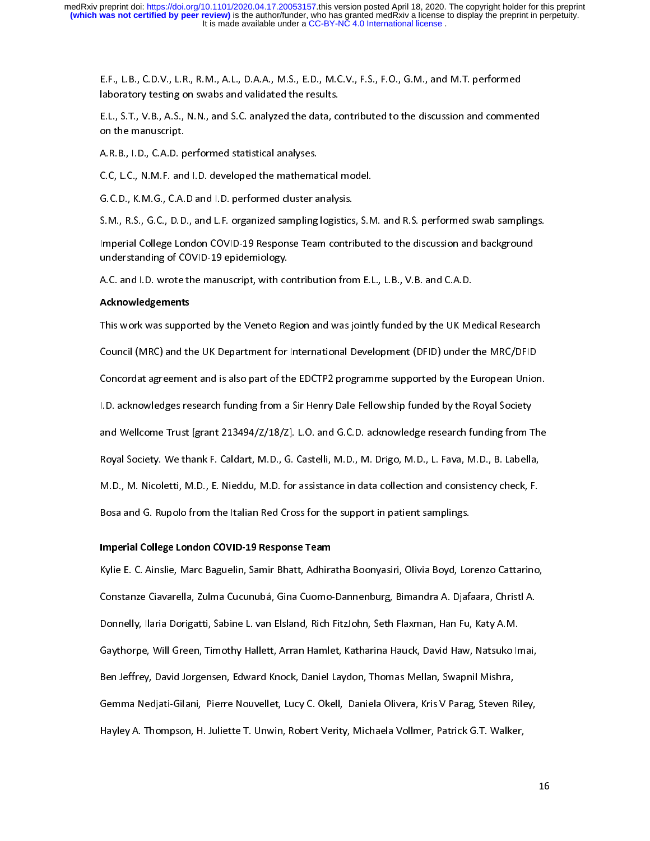aboratory testing on swabs and validated the results.<br>E.L., S.T., V.B., A.S., N.N., and S.C. analyzed the data, contributed to the discussion and commer<br>on the manuscript.<br>A.R.B., I.D., C.A.D. performed statistical analyse E.L., S.T., V.B., A.S., N.N., and S.C. analyzed the data, co<br>on the manuscript.<br>A.R.B., I.D., C.A.D. performed statistical analyses.<br>C.C, L.C., N.M.F. and I.D. developed the mathematical E.L., S.T., S.T., S.T., S.T., S.H., A.B. C. C. and S.E. analyzed the data, contributed to the discussion and set<br>A.R.B., I.D., C.A.D. performed statistical analyses.<br>G.C. D., K.M.G., C.A.D and I.D. performed cluster analys

A.R.B., I.D., C.A.D. p<br>C.C, L.C., N.M.F. and<br>G.C.D., K.M.G., C.A.<br>S.M.. R.S.. G.C.. D.D

C.C, L.C., N.M.F. and I.D. developed the mathema<br>G.C.D., K.M.G., C.A.D and I.D. performed cluster a<br>S.M., R.S., G.C., D.D., and L.F. organized sampling<br>Imperial College London COVID-19 Response Tear

G.C.D., K.M.G., C.A.D and I.D. performed cluster analysis.<br>S.M., R.S., G.C., D.D., and L.F. organized sampling logistics, S.M. and R.S. performed swab samplings.<br>Imperial College London COVID-19 Response Team contributed t S.M., R.S., G.C., D.D., and L.F. organized sampling logistics<br>Imperial College London COVID-19 Response Team contri<br>understanding of COVID-19 epidemiology.<br>A.C. and I.D. wrote the manuscript, with contribution fror Imperial College London COVID-19 Response Team contributed to the discussion and background Imperial College London Correlation College London College London College London College London College London<br>A.C. and I.D. wrote the manuscript, with contribution from E.L., L.B., V.B. and C.A.D.<br>**Acknowledgements**<br>This

#### Acknowledgements

understanding of COVID-19 epidemiology.<br>A.C. and I.D. wrote the manuscript, with co<br>**Acknowledgements**<br>This work was supported by the Veneto Re Acknowledgements<br>This work was supported by the Veneto Region and was jointly funded by the UK Me<br>Council (MRC) and the UK Department for International Development (DFID) under t This work was supported by the Victomation of the Victomation of Council (MRC) and the UK Department for International Development (DFID) under the MRC/DFID<br>Concordat agreement and is also part of the EDCTP2 programme supp Concordat agreement and is also part of the EDCTP2 programme supported by the European Unior<br>I.D. acknowledges research funding from a Sir Henry Dale Fellowship funded by the Royal Society<br>and Wellcome Trust [grant 213494/ I.D. acknowledges research funding from a Sir Henry Dale Fellowship funded by the Royal Society<br>and Wellcome Trust [grant 213494/Z/18/Z]. L.O. and G.C.D. acknowledge research funding from The<br>Royal Society. We thank F. Cal I. and Wellcome Trust [grant 213494/Z/18/Z]. L.O. and G.C.D. acknowledge research funding from T<br>Royal Society. We thank F. Caldart, M.D., G. Castelli, M.D., M. Drigo, M.D., L. Fava, M.D., B. Labella<br>M.D., M. Nicoletti, M. and Society. We thank F. Caldart, M.D., G. Castelli, M.D., M. Drigo, M.D., L. Fava, M.D., B. Labella,<br>M.D., M. Nicoletti, M.D., E. Nieddu, M.D. for assistance in data collection and consistency check, F.<br>Bosa and G. Rupolo Royal Society, We thank F. Caladary, M.D., G. Castelli, M.D., M. Drigo, M.D., D. Factelli, M.D., E. Nieddu, M.D. for assistance in data collection and consistency check, F.<br>Bosa and G. Rupolo from the Italian Red Cross for M.D., M. M. N. L. C. M., 2008, M. M. M. N. N. M. M. M. M. M. C. M. M. C. M. L. M. M. M. M. M. M. M. M. M. M. M<br>Bosa and G. Rupolo from the Italian Red Cross for the support in patient samplings.<br>Imperial College London COV

Bosa and Gruppolo from the Italian Red Cross for the Support in patients samplings.<br>Bosa and College London COVID-19 Response Team<br>Kylie E. C. Ainslie, Marc Baguelin, Samir Bhatt, Adhiratha Boonyasiri, Olivia Boyd, Loi<br>Con Imperial College London COVID-19 Response Team<br>Kylie E. C. Ainslie, Marc Baguelin, Samir Bhatt, Adhira<br>Constanze Ciavarella, Zulma Cucunubá, Gina Cuomo<br>Donnelly, Ilaria Dorigatti, Sabine L. van Elsland, Rich Kylie E. C. Ainslie, Marc Bagaielin, Samir Bhatt, Admiratha Boon, Samir Boya, Birchie Bornach, Christl A.<br>Constanze Ciavarella, Zulma Cucunubá, Gina Cuomo-Dannenburg, Bimandra A. Djafaara, Christl A.<br>Donnelly, Ilaria Dorig ر<br>Donnelly, Ilaria Dorigatti, Sabine L. van Elsland, Rich FitzJohn, Seth Flaxman, Han Fu, Katy A.M.<br>Gaythorpe, Will Green, Timothy Hallett, Arran Hamlet, Katharina Hauck, David Haw, Natsuko Imai,<br>Ben Jeffrey, David Jorgen Gaythorpe, Will Green, Timothy Hallett, Arran Hamlet, Katharina Hauck, David Haw, Natsuko Imai,<br>Ben Jeffrey, David Jorgensen, Edward Knock, Daniel Laydon, Thomas Mellan, Swapnil Mishra,<br>Gemma Nedjati-Gilani, Pierre Nouvel Gan Jeffrey, David Jorgensen, Edward Knock, Daniel Laydon, Thomas Mellan, Swapnil Mishra,<br>Gemma Nedjati-Gilani, Pierre Nouvellet, Lucy C. Okell, Daniela Olivera, Kris V Parag, Steven Riley,<br>Hayley A. Thompson, H. Juliette Ben Jeffrey, David Jorgensen, Edward Knock, Daniel Laydon, Thomas Mellan, Swapnil Mishra, Hayley A. Thompson, H. Juliette T. Unwin, Robert Verity, Michaela Vollmer, Patrick G.T. Walker, Hayley A. Thompson, H. Juliette T. Unwin, Robert Verity, Michaela Vollmer, Patrick G.T. Walker,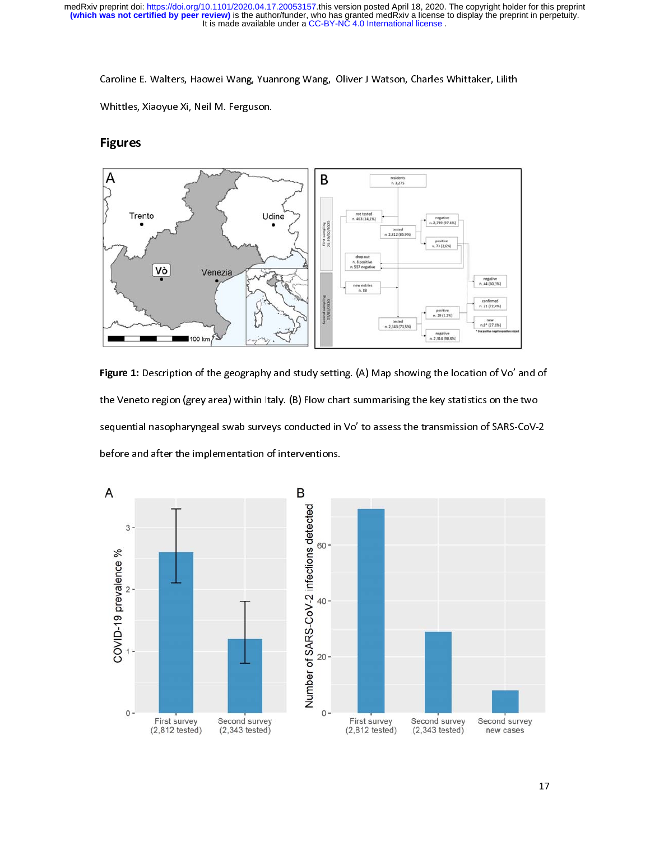

Figure 1: Description of the geography and study setting. (A) Map showing the location of Vo' and of<br>the Veneto region (grey area) within Italy. (B) Flow chart summarising the key statistics on the two<br>sequential nasophary sequential nasopharyngeal swab surveys conducted in Vo' to assess the transmission of SARS-CoV-2<br>before and after the implementation of interventions.

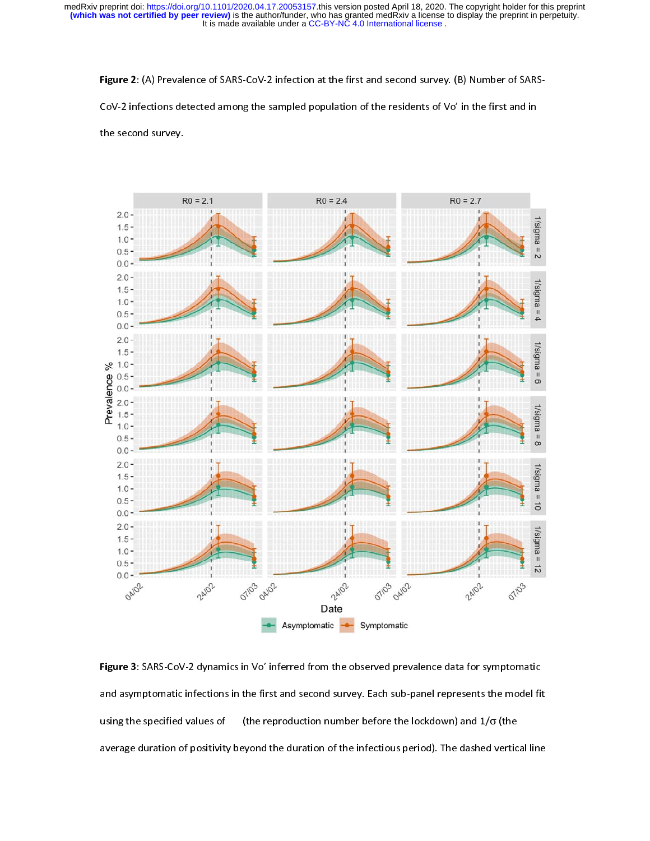It is made available under a CC-BY-NC 4.0 International license. **(which was not certified by peer review)** is the author/funder, who has granted medRxiv a license to display the preprint in perpetuity. medRxiv preprint doi: [https://doi.org/10.1101/2020.04.17.20053157.](https://doi.org/10.1101/2020.04.17.20053157)this version posted April 18, 2020. The copyright holder for this preprint

Figure 2: (A) Prevalence of SARS-CoV-2 infection at the first and second survey. (B) Number of SARS-

CoV-2 infections detected among the sampled population of the residents of Vo' in the first and in

the second survey.



Figure 3: SARS-CoV-2 dynamics in Vo' inferred from the observed prevalence data for symptomatic and asymptomatic infections in the first and second survey. Each sub-panel represents the model fit using the specified values of  $\qquad$  (the reproduction number before the lockdown) and  $1/\sigma$  (the average duration of positivity beyond the duration of the infectious period). The dashed vertical line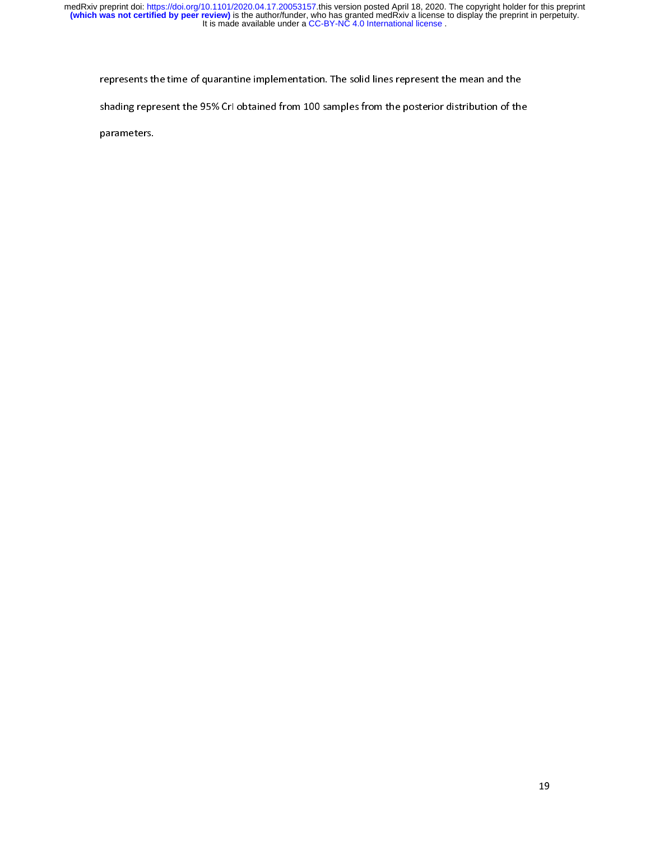represents the time of quarantine implementation. The solid lines represent the mean and the<br>shading represent the 95% CrI obtained from 100 samples from the posterior distribution of the<br>parameters.

 $s$  Critical parameters.

parameters.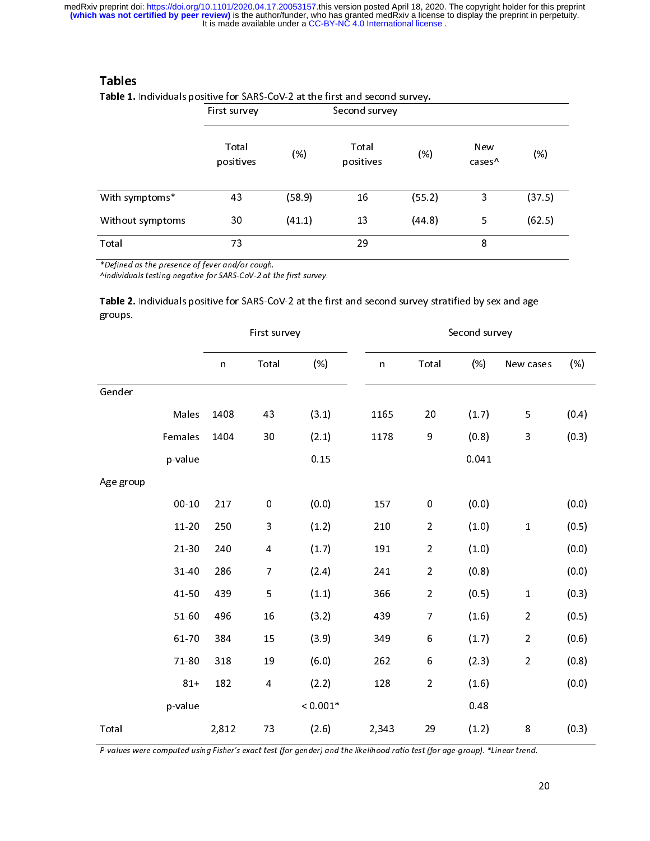|                                                                                                                      | First survey       |        | Second survey      |        |                           |        |
|----------------------------------------------------------------------------------------------------------------------|--------------------|--------|--------------------|--------|---------------------------|--------|
|                                                                                                                      | Total<br>positives | (% )   | Total<br>positives | (%)    | New<br>cases <sup>^</sup> | (%)    |
| With symptoms*                                                                                                       | 43                 | (58.9) | 16                 | (55.2) | 3                         | (37.5) |
| Without symptoms                                                                                                     | 30                 | (41.1) | 13                 | (44.8) | 5                         | (62.5) |
| Total                                                                                                                | 73                 |        | 29                 |        | 8                         |        |
| *Defined as the presence of fever and/or cough.<br>Aindividuals testing negative for SARS-CoV-2 at the first survey. |                    |        |                    |        |                           |        |
| Table 2. Individuals positive for SARS-CoV-2 at the first and second survey stratified by sex and age                |                    |        |                    |        |                           |        |

Tables<br>Table 1. Individuals positive for SARS-CoV-2 at the first and second survey.

# *\*Defined as the presence of fever and/or cough.*<br> *Andividuals testing negative for SARS-CoV-2 at the first survey.*<br> **Table 2.** Individuals positive for SARS-CoV-2 at the first and second survey stratified by s<br>
groups.<br>

|           |           | First survey |                         |                                                                                                                             | Second survey |                  |       |                |       |
|-----------|-----------|--------------|-------------------------|-----------------------------------------------------------------------------------------------------------------------------|---------------|------------------|-------|----------------|-------|
|           |           | $\mathsf n$  | Total                   | (% )                                                                                                                        | $\mathsf{n}$  | Total            | (% )  | New cases      | (% )  |
| Gender    |           |              |                         |                                                                                                                             |               |                  |       |                |       |
|           | Males     | 1408         | 43                      | (3.1)                                                                                                                       | 1165          | $20\,$           | (1.7) | 5              | (0.4) |
|           | Females   | 1404         | 30                      | (2.1)                                                                                                                       | 1178          | 9                | (0.8) | 3              | (0.3) |
|           | p-value   |              |                         | 0.15                                                                                                                        |               |                  | 0.041 |                |       |
| Age group |           |              |                         |                                                                                                                             |               |                  |       |                |       |
|           | $00 - 10$ | 217          | $\pmb{0}$               | (0.0)                                                                                                                       | 157           | $\pmb{0}$        | (0.0) |                | (0.0) |
|           | 11-20     | 250          | 3                       | (1.2)                                                                                                                       | 210           | $\overline{2}$   | (1.0) | $\mathbf{1}$   | (0.5) |
|           | $21 - 30$ | 240          | $\overline{\mathbf{r}}$ | (1.7)                                                                                                                       | 191           | $\overline{a}$   | (1.0) |                | (0.0) |
|           | 31-40     | 286          | $\overline{7}$          | (2.4)                                                                                                                       | 241           | $\overline{2}$   | (0.8) |                | (0.0) |
|           | 41-50     | 439          | 5                       | (1.1)                                                                                                                       | 366           | $\overline{a}$   | (0.5) | $\mathbf{1}$   | (0.3) |
|           | 51-60     | 496          | 16                      | (3.2)                                                                                                                       | 439           | $\overline{7}$   | (1.6) | $\overline{2}$ | (0.5) |
|           | 61-70     | 384          | 15                      | (3.9)                                                                                                                       | 349           | $\boldsymbol{6}$ | (1.7) | $\overline{a}$ | (0.6) |
|           | 71-80     | 318          | 19                      | (6.0)                                                                                                                       | 262           | $\,$ 6 $\,$      | (2.3) | $\overline{2}$ | (0.8) |
|           | $81 +$    | 182          | $\overline{\mathbf{4}}$ | (2.2)                                                                                                                       | 128           | $\overline{2}$   | (1.6) |                | (0.0) |
|           | p-value   |              |                         | $< 0.001*$                                                                                                                  |               |                  | 0.48  |                |       |
| Total     |           | 2,812        | 73                      | (2.6)                                                                                                                       | 2,343         | 29               | (1.2) | 8              | (0.3) |
|           |           |              |                         | P-values were computed using Fisher's exact test (for gender) and the likelihood ratio test (for age-group). *Linear trend. |               |                  |       |                |       |
|           |           |              |                         |                                                                                                                             |               |                  |       |                |       |
|           |           |              |                         |                                                                                                                             |               |                  |       | 20             |       |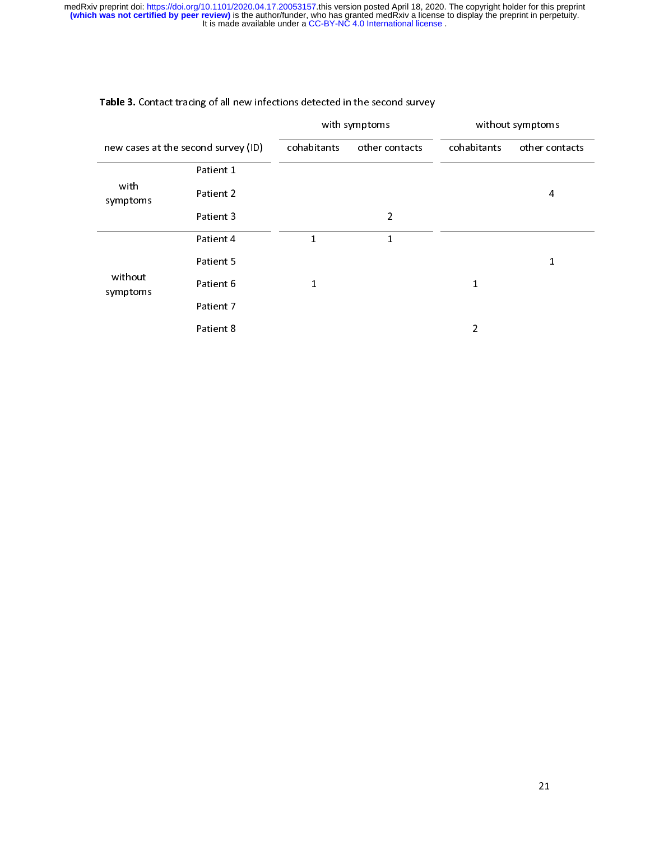|                                     |           |              | with symptoms  | without symptoms |                |  |
|-------------------------------------|-----------|--------------|----------------|------------------|----------------|--|
| new cases at the second survey (ID) |           | cohabitants  | other contacts | cohabitants      | other contacts |  |
| with<br>symptoms                    | Patient 1 |              |                |                  |                |  |
|                                     | Patient 2 |              |                |                  | 4              |  |
|                                     | Patient 3 |              | $\overline{2}$ |                  |                |  |
| without<br>symptoms                 | Patient 4 | $\mathbf{1}$ | $\mathbf{1}$   |                  |                |  |
|                                     | Patient 5 |              |                |                  | $\mathbf{1}$   |  |
|                                     | Patient 6 | $\mathbf{1}$ |                | $\mathbf{1}$     |                |  |
|                                     | Patient 7 |              |                |                  |                |  |
|                                     | Patient 8 |              |                | $\overline{2}$   |                |  |
|                                     |           |              |                |                  |                |  |
|                                     |           |              |                |                  |                |  |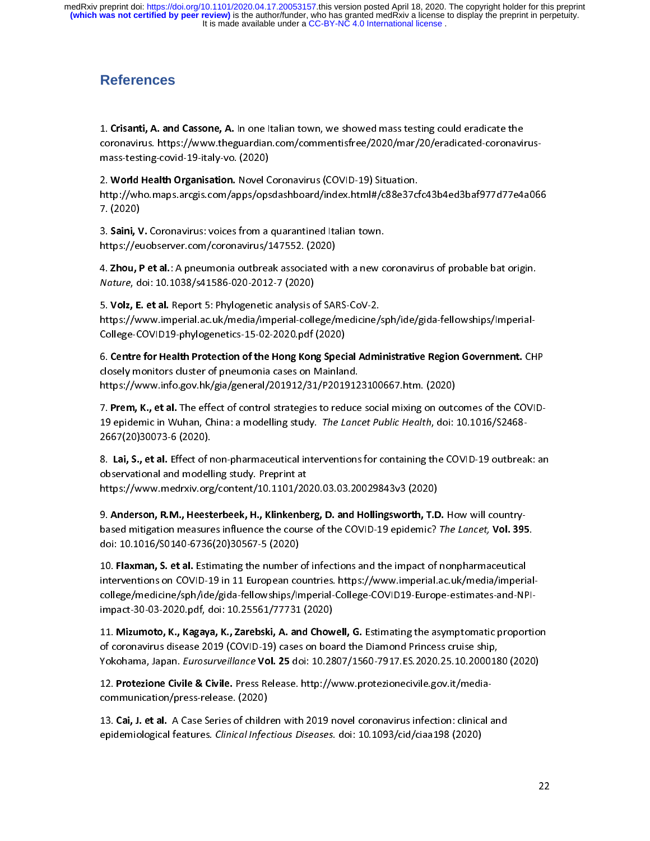# **References**

1. Crisanti, A. and Cassone, A. In one Italian town, we showed mass testing could eradicate the<br>coronavirus. https://www.theguardian.com/commentisfree/2020/mar/20/eradicated-coronavirus-<br>mass-testing-covid-19-italy-vo. (20 mass-testing-covid-19-italy-vo. (2020)

2. World Health Organisation. Novel Coronavirus (COVID-15) Situation.<br>http://who.maps.arcgis.com/apps/opsdashboard/index.html#/c88e37cf<br>7. (2020)<br>3. Saini, V. Coronavirus: voices from a quarantined Italian town.<br>https://eu

3. Saini, V. Coronavirus: voices from a quarantined Italian town.

1. (2020)<br>3. **Saini, V.** Coronavirus: voices from a quarantined Italian town.<br>https://euobserver.com/coronavirus/147552. (2020)<br>4. **Zhou, P et al.**: A pneumonia outbreak associated with a new coronavirus of probable bat or https://euobserver.com/coronavirus/147552. (2020)<br>4. **Zhou, P et al.**: A pneumonia outbreak associated with a new<br>*Nature,* doi: 10.1038/s41586-020-2012-7 (2020)<br>5. **Volz, E. et al.** Report 5: Phylogenetic analysis of SARS 3. Jain, V. Coronavirus: voices from a quarantined Italian town.<br>https://euobserver.com/coronavirus/147552. (2020)<br>4. Zhou, P et al.: A pneumonia outbreak associated with a new c<br>Nature, doi: 10.1038/s41586-020-2012-7 (202

A. Zhou, P et al.: A pneumonia outbreak associated w<br> *Nature*, doi: 10.1038/s41586-020-2012-7 (2020)<br>
5. **Volz, E. et al.** Report 5: Phylogenetic analysis of SAF<br>
https://www.imperial.ac.uk/media/imperial-college/r<br>
Colle 4. Zhou, P et al.: A pheumonia outbreak associated with a new coronavirus of probable bat origin.<br> *Nature*, doi: 10.1038/s41586-020-2012-7 (2020)<br>
5. **Volz, E. et al.** Report 5: Phylogenetic analysis of SARS-CoV-2.<br>
https Nature, doi: 10.10307341586-020-2012-7 (2020)<br>5. **Volz, E. et al.** Report 5: Phylogenetic analysis c<br>https://www.imperial.ac.uk/media/imperial-coll<br>College-COVID19-phylogenetics-15-02-2020.pdf<br>6. **Centre for Health Protect** 

5. Vol., E. et al. Report 5: Phylogenetic analysis of SARS-CoV-2.<br>https://www.imperial.ac.uk/media/imperial-college/medicine/:<br>College-COVID19-phylogenetics-15-02-2020.pdf (2020)<br>6. Centre for Health Protection of the Hong College-College-Phylogenetics-15-02-2020;<br>
G. Centre for Health Protection of the Hong Kong Speci<br>
closely monitors cluster of pneumonia cases on Mainlar<br>
https://www.info.gov.hk/gia/general/201912/31/P2019<br>
7. Prem, K., e

7. Prem, K., et al. The effect of control strategies to reduce social mixing on outcomes of the COVI 6. Centre for Health Protection of the Hong Rong Special Administrative Region Government. Christosely monitors cluster of pneumonia cases on Mainland.<br>https://www.info.gov.hk/gia/general/201912/31/P2019123100667.htm. (202 closely monitors cluster of processes on the pair of the set of the set of control strategies to reduce<br>19 epidemic in Wuhan, China: a modelling study. The Land<br>2667(20)30073-6 (2020).<br>8. Lai, S., et al. Effect of non-phar https://www.info.gov.hk/gia/general/201912012/20191201212100101.<br>7. Prem, K., et al. The effect of control strategies to reduce social mixing on outc<br>19 epidemic in Wuhan, China: a modelling study. The Lancet Public Health

7. Frem, K., et al. The effect of control strategies to reduce social mixing on outcomes of the COVID-19 epidemic in Wuhan, China: a modelling study. The Lancet Public Health, doi: 10.1016/S2468-2667(20)30073-6 (2020).<br>8. 19 epidemic in Wuhan, emita. a modelling study. The Editect Public Health, doi: 10.1010/32400<br>2667(20)30073-6 (2020).<br>8. Lai, S., et al. Effect of non-pharmaceutical interventions for containing the COVID-19 outbrea<br>observ 2667(20)30073-6 (2020).<br>
2667(20)30073-6 (2020).<br>
26. Lai, S., et al. Effect of non-pharmaceutical interventions for containing the COVID-19 outbreak<br>
26. Lai, S., et al. Effect of non-pharmaceutical interventions for cont

8. Lai, 3., et al. Effect of non-pharmaceutical interventions for containing the COVID-15 outbreak: an observational and modelling study. Preprint at<br>https://www.medrxiv.org/content/10.1101/2020.03.03.20029843v3 (2020)<br>9. https://www.medrxiv.org/content/10.1101/2020.03.03.20029843v3 (2020)<br>9. Anderson, R.M., Heesterbeek, H., Klinkenberg, D. and Hollingsworth, T.I<br>based mitigation measures influence the course of the COVID-19 epidemic?<br>doi:

10. Flaxman, S. et al. Estimating the number of infections and the impact of nonpharmaceutical<br>interventions on COVID-19 in 11 European countries. https://www.imperial.ac.uk/media/imperial-9. Anderson, R.M., Heesterbeek, H., Klinkenberg, D. and Hollingsworth, T.D. How will country<br>based mitigation measures influence the course of the COVID-19 epidemic? The Lancet, Vol. 39!<br>doi: 10.1016/S0140-6736(20)30567-5 based imagation measures imitative the course of the COVID-15 epidemic? The Lancet, Vol. 395.<br>doi: 10.1016/S0140-6736(20)30567-5 (2020)<br>10. Flaxman, S. et al. Estimating the number of infections and the impact of nonpharma doi: 10.1016/30140-6736(20)30367-5 (2020)<br>10. Flaxman, S. et al. Estimating the number<br>interventions on COVID-19 in 11 European co<br>college/medicine/sph/ide/gida-fellowships/Ir<br>impact-30-03-2020.pdf, doi: 10.25561/77731<br>11. 10. Flaxinari, S. et al. Estimating the number of infections and the impact of nonpharmaceutical<br>interventions on COVID-19 in 11 European countries. https://www.imperial.ac.uk/media/imperia<br>college/medicine/sph/ide/gida-fe

iononame, sapan, Europarvemente von Lo don 10.2007 judoo 701 indizioad. Idizoo 100 (2020) impact-30-03-2020.pdf, doi: 10.25561/77731 (2020)<br>11. Mizumoto, K., Kagaya, K., Zarebski, A. and Chow<br>of coronavirus disease 2019 (COVID-19) cases on boa<br>Yokohama, Japan. *Eurosurveillance* Vol. 25 doi: 10.28<br>12. Protezion 11. Mizumoto, K., Kagaya, K., Zarebski, A. and Chowen, G. Estimating the asymptomate proportion<br>of coronavirus disease 2019 (COVID-19) cases on board the Diamond Princess cruise ship,<br>Yokohama, Japan. *Eurosurveillance* **V** 

12. Protezione Civile & Civile. Press Release. http://www.protezionecivile.gov.it/media-Yokohama, Japan. *Eurosurveillance* Vol. 25 doi: 10.2807/1560-7917.ES.2020.25.10.200018<br>12. Protezione Civile & Civile. Press Release. http://www.protezionecivile.gov.it/media-<br>communication/press-release. (2020)<br>13. Cai,

Tokohama, Japan. Eurosurvemance Vol. 25 doi: 10.2807/1560-7517.ES.2020.25.10.2000180 (2020)<br>12. Protezione Civile & Civile. Press Release. http://www.protezionecivile.gov.it/media-<br>communication/press-release. (2020)<br>13. C 12. Protezione Civile & Civile. Press Release. http://www.protezionecivile.gov.it/media-<br>communication/press-release. (2020)<br>13. Cai, J. et al. A Case Series of children with 2019 novel coronavirus infection: clinical-<br>epi 13. Cai, J. et al. A Case Series of childrepidemiological features. *Clinical Infec* 13. Cai, J. et al. A Case Series of children with 2019 novel coronavirus infection: clinical and<br>epidemiological features. *Clinical Infectious Diseases*. doi: 10.1093/cid/ciaa198 (2020) epidemiological features. Clinical Infectious Diseases. doi: 10.1093/cid/ciaa198 (2020)